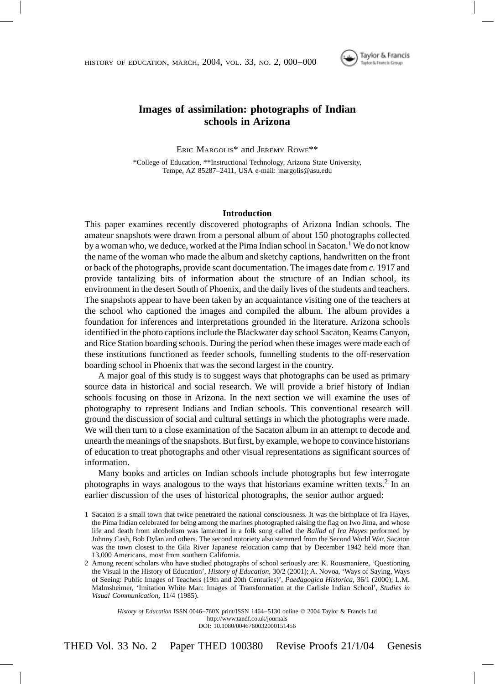HISTORY OF EDUCATION, MARCH, 2004, VOL. 33, NO. 2, 000–000



# **Images of assimilation: photographs of Indian schools in Arizona**

ERIC MARGOLIS\* and JEREMY ROWE\*\*

\*College of Education, \*\*Instructional Technology, Arizona State University, Tempe, AZ 85287–2411, USA e-mail: margolis@asu.edu

### **Introduction**

This paper examines recently discovered photographs of Arizona Indian schools. The amateur snapshots were drawn from a personal album of about 150 photographs collected by a woman who, we deduce, worked at the Pima Indian school in Sacaton.<sup>1</sup> We do not know the name of the woman who made the album and sketchy captions, handwritten on the front or back of the photographs, provide scant documentation. The images date from *c.* 1917 and provide tantalizing bits of information about the structure of an Indian school, its environment in the desert South of Phoenix, and the daily lives of the students and teachers. The snapshots appear to have been taken by an acquaintance visiting one of the teachers at the school who captioned the images and compiled the album. The album provides a foundation for inferences and interpretations grounded in the literature. Arizona schools identified in the photo captions include the Blackwater day school Sacaton, Keams Canyon, and Rice Station boarding schools. During the period when these images were made each of these institutions functioned as feeder schools, funnelling students to the off-reservation boarding school in Phoenix that was the second largest in the country.

A major goal of this study is to suggest ways that photographs can be used as primary source data in historical and social research. We will provide a brief history of Indian schools focusing on those in Arizona. In the next section we will examine the uses of photography to represent Indians and Indian schools. This conventional research will ground the discussion of social and cultural settings in which the photographs were made. We will then turn to a close examination of the Sacaton album in an attempt to decode and unearth the meanings of the snapshots. But first, by example, we hope to convince historians of education to treat photographs and other visual representations as significant sources of information.

Many books and articles on Indian schools include photographs but few interrogate photographs in ways analogous to the ways that historians examine written texts.<sup>2</sup> In an earlier discussion of the uses of historical photographs, the senior author argued:

*History of Education* ISSN 0046–760X print/ISSN 1464–5130 online © 2004 Taylor & Francis Ltd http://www.tandf.co.uk/journals DOI: 10.1080/0046760032000151456

THED Vol. 33 No. 2 Paper THED 100380 Revise Proofs 21/1/04 Genesis

<sup>1</sup> Sacaton is a small town that twice penetrated the national consciousness. It was the birthplace of Ira Hayes, the Pima Indian celebrated for being among the marines photographed raising the flag on Iwo Jima, and whose life and death from alcoholism was lamented in a folk song called the *Ballad of Ira Hayes* performed by Johnny Cash, Bob Dylan and others. The second notoriety also stemmed from the Second World War. Sacaton was the town closest to the Gila River Japanese relocation camp that by December 1942 held more than 13,000 Americans, most from southern California.

<sup>2</sup> Among recent scholars who have studied photographs of school seriously are: K. Rousmaniere, 'Questioning the Visual in the History of Education', *History of Education*, 30/2 (2001); A. Novoa, 'Ways of Saying, Ways of Seeing: Public Images of Teachers (19th and 20th Centuries)', *Paedagogica Historica*, 36/1 (2000); L.M. Malmsheimer, 'Imitation White Man: Images of Transformation at the Carlisle Indian School', *Studies in Visual Communication*, 11/4 (1985).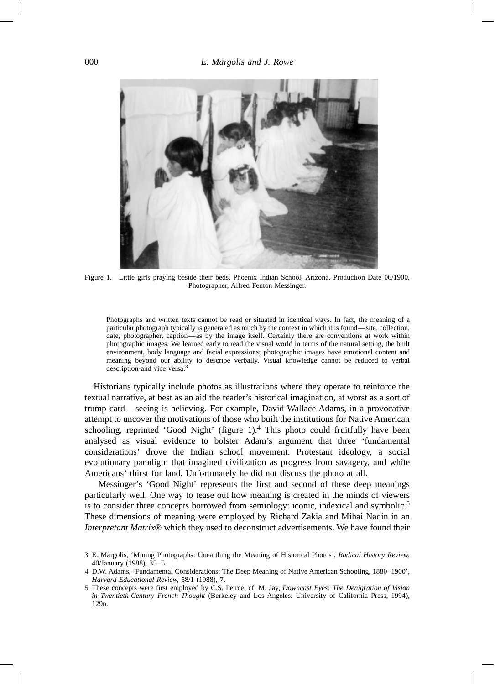

Figure 1. Little girls praying beside their beds, Phoenix Indian School, Arizona. Production Date 06/1900. Photographer, Alfred Fenton Messinger.

Photographs and written texts cannot be read or situated in identical ways. In fact, the meaning of a particular photograph typically is generated as much by the context in which it is found—site, collection, date, photographer, caption—as by the image itself. Certainly there are conventions at work within photographic images. We learned early to read the visual world in terms of the natural setting, the built environment, body language and facial expressions; photographic images have emotional content and meaning beyond our ability to describe verbally. Visual knowledge cannot be reduced to verbal description-and vice versa.<sup>3</sup>

Historians typically include photos as illustrations where they operate to reinforce the textual narrative, at best as an aid the reader's historical imagination, at worst as a sort of trump card—seeing is believing. For example, David Wallace Adams, in a provocative attempt to uncover the motivations of those who built the institutions for Native American schooling, reprinted 'Good Night' (figure  $1$ ).<sup>4</sup> This photo could fruitfully have been analysed as visual evidence to bolster Adam's argument that three 'fundamental considerations' drove the Indian school movement: Protestant ideology, a social evolutionary paradigm that imagined civilization as progress from savagery, and white Americans' thirst for land. Unfortunately he did not discuss the photo at all.

Messinger's 'Good Night' represents the first and second of these deep meanings particularly well. One way to tease out how meaning is created in the minds of viewers is to consider three concepts borrowed from semiology: iconic, indexical and symbolic.<sup>5</sup> These dimensions of meaning were employed by Richard Zakia and Mihai Nadin in an *Interpretant Matrix*® which they used to deconstruct advertisements. We have found their

<sup>3</sup> E. Margolis, 'Mining Photographs: Unearthing the Meaning of Historical Photos', *Radical History Review*, 40/January (1988), 35–6.

<sup>4</sup> D.W. Adams, 'Fundamental Considerations: The Deep Meaning of Native American Schooling, 1880–1900', *Harvard Educational Review*, 58/1 (1988), 7.

<sup>5</sup> These concepts were first employed by C.S. Peirce; cf. M. Jay, *Downcast Eyes: The Denigration of Vision in Twentieth-Century French Thought* (Berkeley and Los Angeles: University of California Press, 1994), 129n.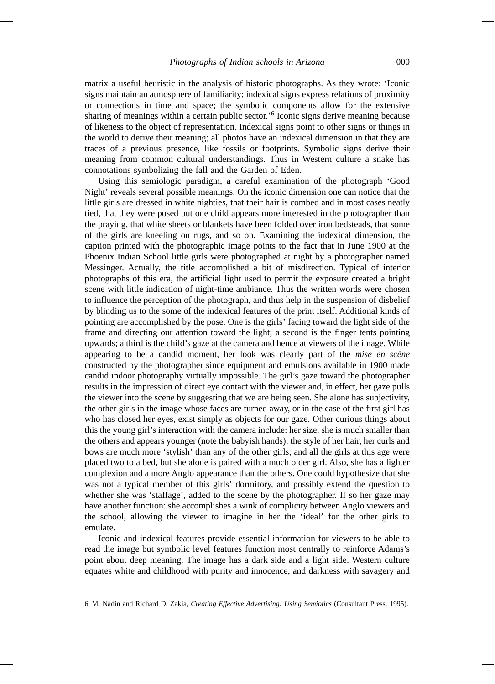matrix a useful heuristic in the analysis of historic photographs. As they wrote: 'Iconic signs maintain an atmosphere of familiarity; indexical signs express relations of proximity or connections in time and space; the symbolic components allow for the extensive sharing of meanings within a certain public sector.'<sup>6</sup> Iconic signs derive meaning because of likeness to the object of representation. Indexical signs point to other signs or things in the world to derive their meaning; all photos have an indexical dimension in that they are traces of a previous presence, like fossils or footprints. Symbolic signs derive their meaning from common cultural understandings. Thus in Western culture a snake has connotations symbolizing the fall and the Garden of Eden.

Using this semiologic paradigm, a careful examination of the photograph 'Good Night' reveals several possible meanings. On the iconic dimension one can notice that the little girls are dressed in white nighties, that their hair is combed and in most cases neatly tied, that they were posed but one child appears more interested in the photographer than the praying, that white sheets or blankets have been folded over iron bedsteads, that some of the girls are kneeling on rugs, and so on. Examining the indexical dimension, the caption printed with the photographic image points to the fact that in June 1900 at the Phoenix Indian School little girls were photographed at night by a photographer named Messinger. Actually, the title accomplished a bit of misdirection. Typical of interior photographs of this era, the artificial light used to permit the exposure created a bright scene with little indication of night-time ambiance. Thus the written words were chosen to influence the perception of the photograph, and thus help in the suspension of disbelief by blinding us to the some of the indexical features of the print itself. Additional kinds of pointing are accomplished by the pose. One is the girls' facing toward the light side of the frame and directing our attention toward the light; a second is the finger tents pointing upwards; a third is the child's gaze at the camera and hence at viewers of the image. While appearing to be a candid moment, her look was clearly part of the *mise en scène* constructed by the photographer since equipment and emulsions available in 1900 made candid indoor photography virtually impossible. The girl's gaze toward the photographer results in the impression of direct eye contact with the viewer and, in effect, her gaze pulls the viewer into the scene by suggesting that we are being seen. She alone has subjectivity, the other girls in the image whose faces are turned away, or in the case of the first girl has who has closed her eyes, exist simply as objects for our gaze. Other curious things about this the young girl's interaction with the camera include: her size, she is much smaller than the others and appears younger (note the babyish hands); the style of her hair, her curls and bows are much more 'stylish' than any of the other girls; and all the girls at this age were placed two to a bed, but she alone is paired with a much older girl. Also, she has a lighter complexion and a more Anglo appearance than the others. One could hypothesize that she was not a typical member of this girls' dormitory, and possibly extend the question to whether she was 'staffage', added to the scene by the photographer. If so her gaze may have another function: she accomplishes a wink of complicity between Anglo viewers and the school, allowing the viewer to imagine in her the 'ideal' for the other girls to emulate.

Iconic and indexical features provide essential information for viewers to be able to read the image but symbolic level features function most centrally to reinforce Adams's point about deep meaning. The image has a dark side and a light side. Western culture equates white and childhood with purity and innocence, and darkness with savagery and

6 M. Nadin and Richard D. Zakia, *Creating Effective Advertising: Using Semiotics* (Consultant Press, 1995).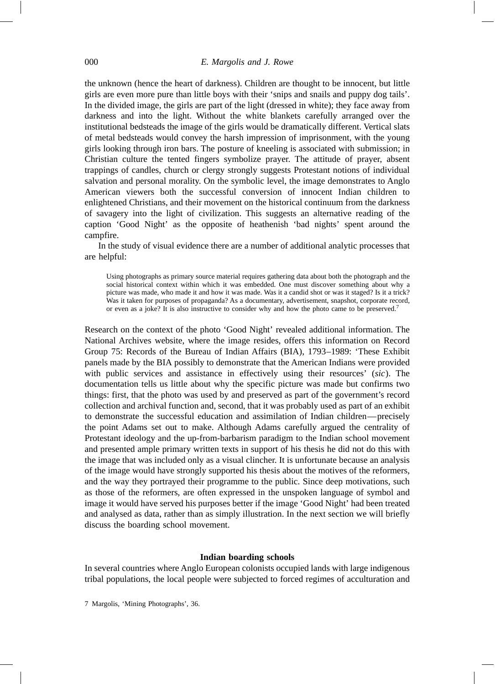the unknown (hence the heart of darkness). Children are thought to be innocent, but little girls are even more pure than little boys with their 'snips and snails and puppy dog tails'. In the divided image, the girls are part of the light (dressed in white); they face away from darkness and into the light. Without the white blankets carefully arranged over the institutional bedsteads the image of the girls would be dramatically different. Vertical slats of metal bedsteads would convey the harsh impression of imprisonment, with the young girls looking through iron bars. The posture of kneeling is associated with submission; in Christian culture the tented fingers symbolize prayer. The attitude of prayer, absent trappings of candles, church or clergy strongly suggests Protestant notions of individual salvation and personal morality. On the symbolic level, the image demonstrates to Anglo American viewers both the successful conversion of innocent Indian children to enlightened Christians, and their movement on the historical continuum from the darkness of savagery into the light of civilization. This suggests an alternative reading of the caption 'Good Night' as the opposite of heathenish 'bad nights' spent around the campfire.

In the study of visual evidence there are a number of additional analytic processes that are helpful:

Using photographs as primary source material requires gathering data about both the photograph and the social historical context within which it was embedded. One must discover something about why a picture was made, who made it and how it was made. Was it a candid shot or was it staged? Is it a trick? Was it taken for purposes of propaganda? As a documentary, advertisement, snapshot, corporate record, or even as a joke? It is also instructive to consider why and how the photo came to be preserved.7

Research on the context of the photo 'Good Night' revealed additional information. The National Archives website, where the image resides, offers this information on Record Group 75: Records of the Bureau of Indian Affairs (BIA), 1793–1989: 'These Exhibit panels made by the BIA possibly to demonstrate that the American Indians were provided with public services and assistance in effectively using their resources' (*sic*). The documentation tells us little about why the specific picture was made but confirms two things: first, that the photo was used by and preserved as part of the government's record collection and archival function and, second, that it was probably used as part of an exhibit to demonstrate the successful education and assimilation of Indian children—precisely the point Adams set out to make. Although Adams carefully argued the centrality of Protestant ideology and the up-from-barbarism paradigm to the Indian school movement and presented ample primary written texts in support of his thesis he did not do this with the image that was included only as a visual clincher. It is unfortunate because an analysis of the image would have strongly supported his thesis about the motives of the reformers, and the way they portrayed their programme to the public. Since deep motivations, such as those of the reformers, are often expressed in the unspoken language of symbol and image it would have served his purposes better if the image 'Good Night' had been treated and analysed as data, rather than as simply illustration. In the next section we will briefly discuss the boarding school movement.

#### **Indian boarding schools**

In several countries where Anglo European colonists occupied lands with large indigenous tribal populations, the local people were subjected to forced regimes of acculturation and

7 Margolis, 'Mining Photographs', 36.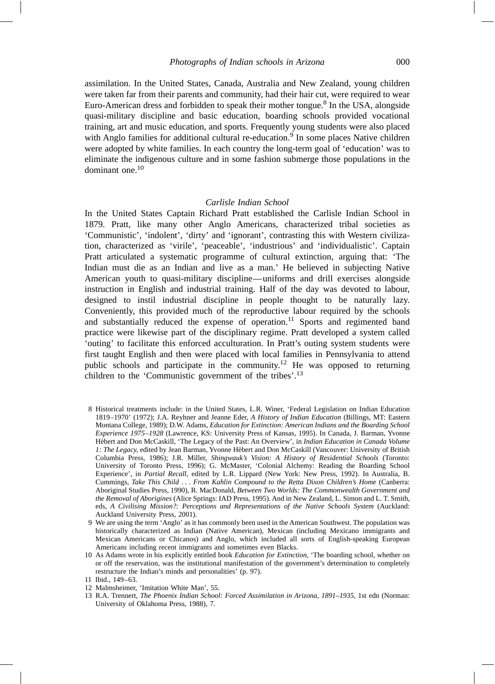assimilation. In the United States, Canada, Australia and New Zealand, young children were taken far from their parents and community, had their hair cut, were required to wear Euro-American dress and forbidden to speak their mother tongue.<sup>8</sup> In the USA, alongside quasi-military discipline and basic education, boarding schools provided vocational training, art and music education, and sports. Frequently young students were also placed with Anglo families for additional cultural re-education.<sup>9</sup> In some places Native children were adopted by white families. In each country the long-term goal of 'education' was to eliminate the indigenous culture and in some fashion submerge those populations in the dominant one.<sup>10</sup>

#### *Carlisle Indian School*

In the United States Captain Richard Pratt established the Carlisle Indian School in 1879. Pratt, like many other Anglo Americans, characterized tribal societies as 'Communistic', 'indolent', 'dirty' and 'ignorant', contrasting this with Western civilization, characterized as 'virile', 'peaceable', 'industrious' and 'individualistic'. Captain Pratt articulated a systematic programme of cultural extinction, arguing that: 'The Indian must die as an Indian and live as a man.' He believed in subjecting Native American youth to quasi-military discipline—uniforms and drill exercises alongside instruction in English and industrial training. Half of the day was devoted to labour, designed to instil industrial discipline in people thought to be naturally lazy. Conveniently, this provided much of the reproductive labour required by the schools and substantially reduced the expense of operation.<sup>11</sup> Sports and regimented band practice were likewise part of the disciplinary regime. Pratt developed a system called 'outing' to facilitate this enforced acculturation. In Pratt's outing system students were first taught English and then were placed with local families in Pennsylvania to attend public schools and participate in the community.<sup>12</sup> He was opposed to returning children to the 'Communistic government of the tribes'.<sup>13</sup>

<sup>8</sup> Historical treatments include: in the United States, L.R. Winer, 'Federal Legislation on Indian Education 1819–1970' (1972); J.A. Reyhner and Jeanne Eder, *A History of Indian Education* (Billings, MT: Eastern Montana College, 1989); D.W. Adams, *Education for Extinction: American Indians and the Boarding School Experience 1975–1928* (Lawrence, KS: University Press of Kansas, 1995). In Canada, J. Barman, Yvonne Hébert and Don McCaskill, 'The Legacy of the Past: An Overview', in *Indian Education in Canada Volume 1: The Legacy*, edited by Jean Barman, Yvonne Hebert and Don McCaskill (Vancouver: University of British ´ Columbia Press, 1986); J.R. Miller, *Shingwauk's Vision: A History of Residential Schools* (Toronto: University of Toronto Press, 1996); G. McMaster, 'Colonial Alchemy: Reading the Boarding School Experience', in *Partial Recall*, edited by L.R. Lippard (New York: New Press, 1992). In Australia, B. Cummings, *Take This Child . . . From Kahlin Compound to the Retta Dixon Children's Home* (Canberra: Aboriginal Studies Press, 1990), R. MacDonald, *Between Two Worlds: The Commonwealth Government and the Removal of Aborigines* (Alice Springs: IAD Press, 1995). And in New Zealand, L. Simon and L. T. Smith, eds, *A Civilising Mission?: Perceptions and Representations of the Native Schools System* (Auckland: Auckland University Press, 2001).

<sup>9</sup> We are using the term 'Anglo' as it has commonly been used in the American Southwest. The population was historically characterized as Indian (Native American), Mexican (including Mexicano immigrants and Mexican Americans or Chicanos) and Anglo, which included all sorts of English-speaking European Americans including recent immigrants and sometimes even Blacks.

<sup>10</sup> As Adams wrote in his explicitly entitled book *Education for Extinction*, 'The boarding school, whether on or off the reservation, was the institutional manifestation of the government's determination to completely restructure the Indian's minds and personalities' (p. 97).

<sup>11</sup> Ibid., 149–63.

<sup>12</sup> Malmsheimer, 'Imitation White Man', 55.

<sup>13</sup> R.A. Trennert, *The Phoenix Indian School: Forced Assimilation in Arizona, 1891–1935*, 1st edn (Norman: University of Oklahoma Press, 1988), 7.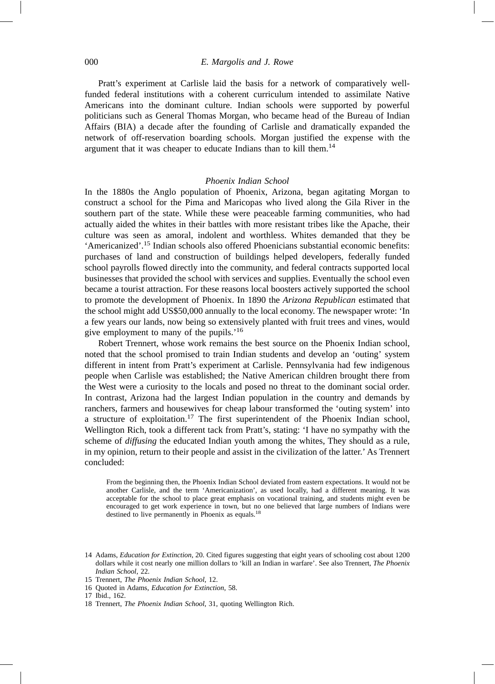Pratt's experiment at Carlisle laid the basis for a network of comparatively wellfunded federal institutions with a coherent curriculum intended to assimilate Native Americans into the dominant culture. Indian schools were supported by powerful politicians such as General Thomas Morgan, who became head of the Bureau of Indian Affairs (BIA) a decade after the founding of Carlisle and dramatically expanded the network of off-reservation boarding schools. Morgan justified the expense with the argument that it was cheaper to educate Indians than to kill them.14

#### *Phoenix Indian School*

In the 1880s the Anglo population of Phoenix, Arizona, began agitating Morgan to construct a school for the Pima and Maricopas who lived along the Gila River in the southern part of the state. While these were peaceable farming communities, who had actually aided the whites in their battles with more resistant tribes like the Apache, their culture was seen as amoral, indolent and worthless. Whites demanded that they be 'Americanized'. <sup>15</sup> Indian schools also offered Phoenicians substantial economic benefits: purchases of land and construction of buildings helped developers, federally funded school payrolls flowed directly into the community, and federal contracts supported local businesses that provided the school with services and supplies. Eventually the school even became a tourist attraction. For these reasons local boosters actively supported the school to promote the development of Phoenix. In 1890 the *Arizona Republican* estimated that the school might add US\$50,000 annually to the local economy. The newspaper wrote: 'In a few years our lands, now being so extensively planted with fruit trees and vines, would give employment to many of the pupils.<sup>'16</sup>

Robert Trennert, whose work remains the best source on the Phoenix Indian school, noted that the school promised to train Indian students and develop an 'outing' system different in intent from Pratt's experiment at Carlisle. Pennsylvania had few indigenous people when Carlisle was established; the Native American children brought there from the West were a curiosity to the locals and posed no threat to the dominant social order. In contrast, Arizona had the largest Indian population in the country and demands by ranchers, farmers and housewives for cheap labour transformed the 'outing system' into a structure of exploitation.17 The first superintendent of the Phoenix Indian school, Wellington Rich, took a different tack from Pratt's, stating: 'I have no sympathy with the scheme of *diffusing* the educated Indian youth among the whites, They should as a rule, in my opinion, return to their people and assist in the civilization of the latter.' As Trennert concluded:

From the beginning then, the Phoenix Indian School deviated from eastern expectations. It would not be another Carlisle, and the term 'Americanization', as used locally, had a different meaning. It was acceptable for the school to place great emphasis on vocational training, and students might even be encouraged to get work experience in town, but no one believed that large numbers of Indians were destined to live permanently in Phoenix as equals.<sup>18</sup>

<sup>14</sup> Adams, *Education for Extinction*, 20. Cited figures suggesting that eight years of schooling cost about 1200 dollars while it cost nearly one million dollars to 'kill an Indian in warfare'. See also Trennert, *The Phoenix Indian School*, 22.

<sup>15</sup> Trennert, *The Phoenix Indian School*, 12.

<sup>16</sup> Quoted in Adams, *Education for Extinction*, 58.

<sup>17</sup> Ibid., 162.

<sup>18</sup> Trennert, *The Phoenix Indian School*, 31, quoting Wellington Rich.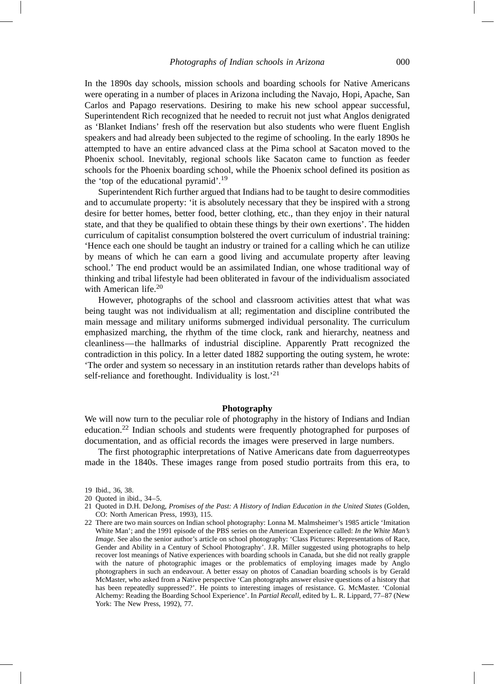In the 1890s day schools, mission schools and boarding schools for Native Americans were operating in a number of places in Arizona including the Navajo, Hopi, Apache, San Carlos and Papago reservations. Desiring to make his new school appear successful, Superintendent Rich recognized that he needed to recruit not just what Anglos denigrated as 'Blanket Indians' fresh off the reservation but also students who were fluent English speakers and had already been subjected to the regime of schooling. In the early 1890s he attempted to have an entire advanced class at the Pima school at Sacaton moved to the Phoenix school. Inevitably, regional schools like Sacaton came to function as feeder schools for the Phoenix boarding school, while the Phoenix school defined its position as the 'top of the educational pyramid'. 19

Superintendent Rich further argued that Indians had to be taught to desire commodities and to accumulate property: 'it is absolutely necessary that they be inspired with a strong desire for better homes, better food, better clothing, etc., than they enjoy in their natural state, and that they be qualified to obtain these things by their own exertions'. The hidden curriculum of capitalist consumption bolstered the overt curriculum of industrial training: 'Hence each one should be taught an industry or trained for a calling which he can utilize by means of which he can earn a good living and accumulate property after leaving school.' The end product would be an assimilated Indian, one whose traditional way of thinking and tribal lifestyle had been obliterated in favour of the individualism associated with American life.<sup>20</sup>

However, photographs of the school and classroom activities attest that what was being taught was not individualism at all; regimentation and discipline contributed the main message and military uniforms submerged individual personality. The curriculum emphasized marching, the rhythm of the time clock, rank and hierarchy, neatness and cleanliness—the hallmarks of industrial discipline. Apparently Pratt recognized the contradiction in this policy. In a letter dated 1882 supporting the outing system, he wrote: 'The order and system so necessary in an institution retards rather than develops habits of self-reliance and forethought. Individuality is lost.'<sup>21</sup>

### **Photography**

We will now turn to the peculiar role of photography in the history of Indians and Indian education.22 Indian schools and students were frequently photographed for purposes of documentation, and as official records the images were preserved in large numbers.

The first photographic interpretations of Native Americans date from daguerreotypes made in the 1840s. These images range from posed studio portraits from this era, to

20 Quoted in ibid., 34–5.

<sup>19</sup> Ibid., 36, 38.

<sup>21</sup> Quoted in D.H. DeJong, *Promises of the Past: A History of Indian Education in the United States* (Golden, CO: North American Press, 1993), 115.

<sup>22</sup> There are two main sources on Indian school photography: Lonna M. Malmsheimer's 1985 article 'Imitation White Man'; and the 1991 episode of the PBS series on the American Experience called: *In the White Man's Image*. See also the senior author's article on school photography: 'Class Pictures: Representations of Race, Gender and Ability in a Century of School Photography'. J.R. Miller suggested using photographs to help recover lost meanings of Native experiences with boarding schools in Canada, but she did not really grapple with the nature of photographic images or the problematics of employing images made by Anglo photographers in such an endeavour. A better essay on photos of Canadian boarding schools is by Gerald McMaster, who asked from a Native perspective 'Can photographs answer elusive questions of a history that has been repeatedly suppressed?'. He points to interesting images of resistance. G. McMaster. 'Colonial Alchemy: Reading the Boarding School Experience'. In *Partial Recall*, edited by L. R. Lippard, 77–87 (New York: The New Press, 1992), 77.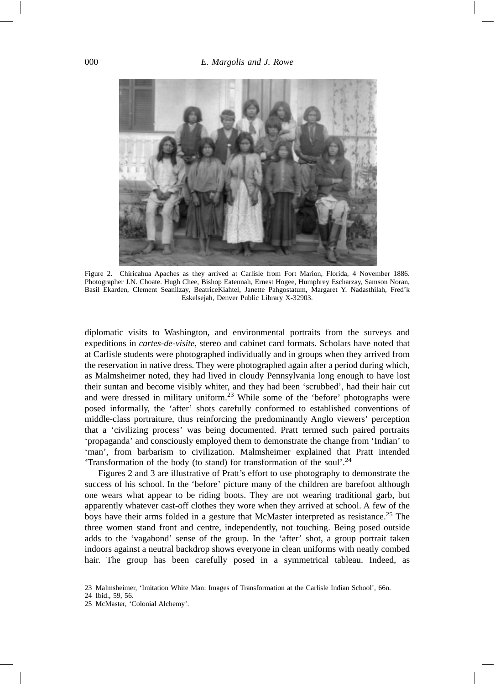

Figure 2. Chiricahua Apaches as they arrived at Carlisle from Fort Marion, Florida, 4 November 1886. Photographer J.N. Choate. Hugh Chee, Bishop Eatennah, Ernest Hogee, Humphrey Escharzay, Samson Noran, Basil Ekarden, Clement Seanilzay, BeatriceKiahtel, Janette Pahgostatum, Margaret Y. Nadasthilah, Fred'k Eskelsejah, Denver Public Library X-32903.

diplomatic visits to Washington, and environmental portraits from the surveys and expeditions in *cartes-de-visite*, stereo and cabinet card formats. Scholars have noted that at Carlisle students were photographed individually and in groups when they arrived from the reservation in native dress. They were photographed again after a period during which, as Malmsheimer noted, they had lived in cloudy Pennsylvania long enough to have lost their suntan and become visibly whiter, and they had been 'scrubbed', had their hair cut and were dressed in military uniform.23 While some of the 'before' photographs were posed informally, the 'after' shots carefully conformed to established conventions of middle-class portraiture, thus reinforcing the predominantly Anglo viewers' perception that a 'civilizing process' was being documented. Pratt termed such paired portraits 'propaganda' and consciously employed them to demonstrate the change from 'Indian' to 'man', from barbarism to civilization. Malmsheimer explained that Pratt intended 'Transformation of the body (to stand) for transformation of the soul'. 24

Figures 2 and 3 are illustrative of Pratt's effort to use photography to demonstrate the success of his school. In the 'before' picture many of the children are barefoot although one wears what appear to be riding boots. They are not wearing traditional garb, but apparently whatever cast-off clothes they wore when they arrived at school. A few of the boys have their arms folded in a gesture that McMaster interpreted as resistance.<sup>25</sup> The three women stand front and centre, independently, not touching. Being posed outside adds to the 'vagabond' sense of the group. In the 'after' shot, a group portrait taken indoors against a neutral backdrop shows everyone in clean uniforms with neatly combed hair. The group has been carefully posed in a symmetrical tableau. Indeed, as

<sup>23</sup> Malmsheimer, 'Imitation White Man: Images of Transformation at the Carlisle Indian School', 66n.

<sup>24</sup> Ibid., 59, 56.

<sup>25</sup> McMaster, 'Colonial Alchemy'.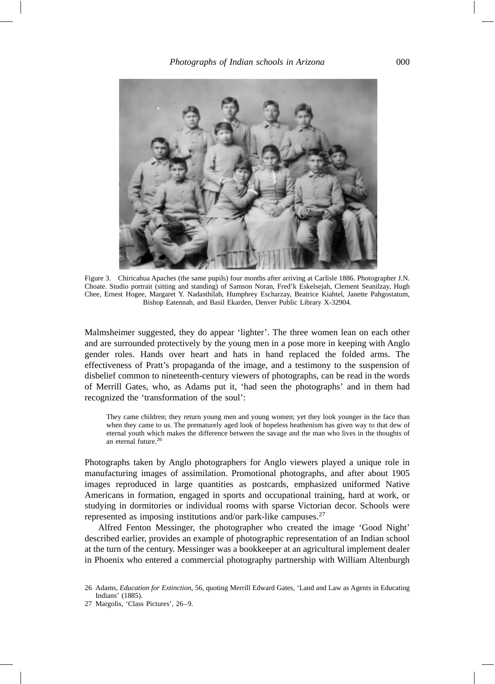

Figure 3. Chiricahua Apaches (the same pupils) four months after arriving at Carlisle 1886. Photographer J.N. Choate. Studio portrait (sitting and standing) of Samson Noran, Fred'k Eskelsejah, Clement Seanilzay, Hugh Chee, Ernest Hogee, Margaret Y. Nadasthilah, Humphrey Escharzay, Beatrice Kiahtel, Janette Pahgostatum, Bishop Eatennah, and Basil Ekarden, Denver Public Library X-32904.

Malmsheimer suggested, they do appear 'lighter'. The three women lean on each other and are surrounded protectively by the young men in a pose more in keeping with Anglo gender roles. Hands over heart and hats in hand replaced the folded arms. The effectiveness of Pratt's propaganda of the image, and a testimony to the suspension of disbelief common to nineteenth-century viewers of photographs, can be read in the words of Merrill Gates, who, as Adams put it, 'had seen the photographs' and in them had recognized the 'transformation of the soul':

They came children; they return young men and young women; yet they look younger in the face than when they came to us. The prematurely aged look of hopeless heathenism has given way to that dew of eternal youth which makes the difference between the savage and the man who lives in the thoughts of an eternal future.26

Photographs taken by Anglo photographers for Anglo viewers played a unique role in manufacturing images of assimilation. Promotional photographs, and after about 1905 images reproduced in large quantities as postcards, emphasized uniformed Native Americans in formation, engaged in sports and occupational training, hard at work, or studying in dormitories or individual rooms with sparse Victorian decor. Schools were represented as imposing institutions and/or park-like campuses.27

Alfred Fenton Messinger, the photographer who created the image 'Good Night' described earlier, provides an example of photographic representation of an Indian school at the turn of the century. Messinger was a bookkeeper at an agricultural implement dealer in Phoenix who entered a commercial photography partnership with William Altenburgh

<sup>26</sup> Adams, *Education for Extinction*, 56, quoting Merrill Edward Gates, 'Land and Law as Agents in Educating Indians' (1885).

<sup>27</sup> Margolis, 'Class Pictures', 26–9.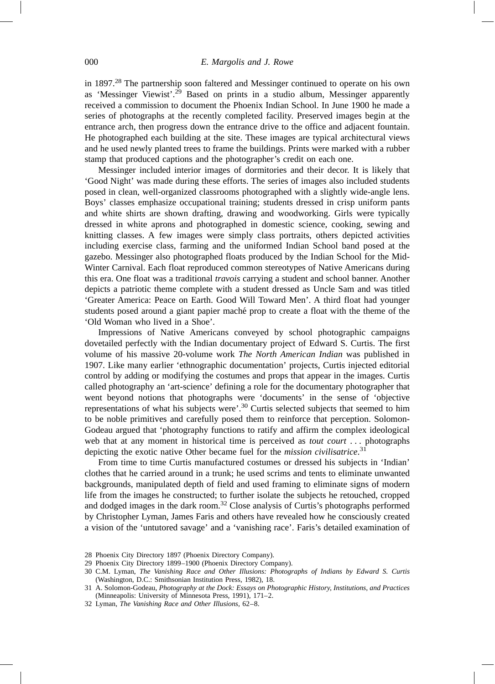in 1897.28 The partnership soon faltered and Messinger continued to operate on his own as 'Messinger Viewist'. <sup>29</sup> Based on prints in a studio album, Messinger apparently received a commission to document the Phoenix Indian School. In June 1900 he made a series of photographs at the recently completed facility. Preserved images begin at the entrance arch, then progress down the entrance drive to the office and adjacent fountain. He photographed each building at the site. These images are typical architectural views and he used newly planted trees to frame the buildings. Prints were marked with a rubber stamp that produced captions and the photographer's credit on each one.

Messinger included interior images of dormitories and their decor. It is likely that 'Good Night' was made during these efforts. The series of images also included students posed in clean, well-organized classrooms photographed with a slightly wide-angle lens. Boys' classes emphasize occupational training; students dressed in crisp uniform pants and white shirts are shown drafting, drawing and woodworking. Girls were typically dressed in white aprons and photographed in domestic science, cooking, sewing and knitting classes. A few images were simply class portraits, others depicted activities including exercise class, farming and the uniformed Indian School band posed at the gazebo. Messinger also photographed floats produced by the Indian School for the Mid-Winter Carnival. Each float reproduced common stereotypes of Native Americans during this era. One float was a traditional *travois* carrying a student and school banner. Another depicts a patriotic theme complete with a student dressed as Uncle Sam and was titled 'Greater America: Peace on Earth. Good Will Toward Men'. A third float had younger students posed around a giant papier mache prop to create a float with the theme of the ´ 'Old Woman who lived in a Shoe'.

Impressions of Native Americans conveyed by school photographic campaigns dovetailed perfectly with the Indian documentary project of Edward S. Curtis. The first volume of his massive 20-volume work *The North American Indian* was published in 1907. Like many earlier 'ethnographic documentation' projects, Curtis injected editorial control by adding or modifying the costumes and props that appear in the images. Curtis called photography an 'art-science' defining a role for the documentary photographer that went beyond notions that photographs were 'documents' in the sense of 'objective representations of what his subjects were'.<sup>30</sup> Curtis selected subjects that seemed to him to be noble primitives and carefully posed them to reinforce that perception. Solomon-Godeau argued that 'photography functions to ratify and affirm the complex ideological web that at any moment in historical time is perceived as *tout court* . . . photographs depicting the exotic native Other became fuel for the *mission civilisatrice*. 31

From time to time Curtis manufactured costumes or dressed his subjects in 'Indian' clothes that he carried around in a trunk; he used scrims and tents to eliminate unwanted backgrounds, manipulated depth of field and used framing to eliminate signs of modern life from the images he constructed; to further isolate the subjects he retouched, cropped and dodged images in the dark room.32 Close analysis of Curtis's photographs performed by Christopher Lyman, James Faris and others have revealed how he consciously created a vision of the 'untutored savage' and a 'vanishing race'. Faris's detailed examination of

<sup>28</sup> Phoenix City Directory 1897 (Phoenix Directory Company).

<sup>29</sup> Phoenix City Directory 1899–1900 (Phoenix Directory Company).

<sup>30</sup> C.M. Lyman, *The Vanishing Race and Other Illusions: Photographs of Indians by Edward S. Curtis* (Washington, D.C.: Smithsonian Institution Press, 1982), 18.

<sup>31</sup> A. Solomon-Godeau, *Photography at the Dock: Essays on Photographic History, Institutions, and Practices* (Minneapolis: University of Minnesota Press, 1991), 171–2.

<sup>32</sup> Lyman, *The Vanishing Race and Other Illusions*, 62–8.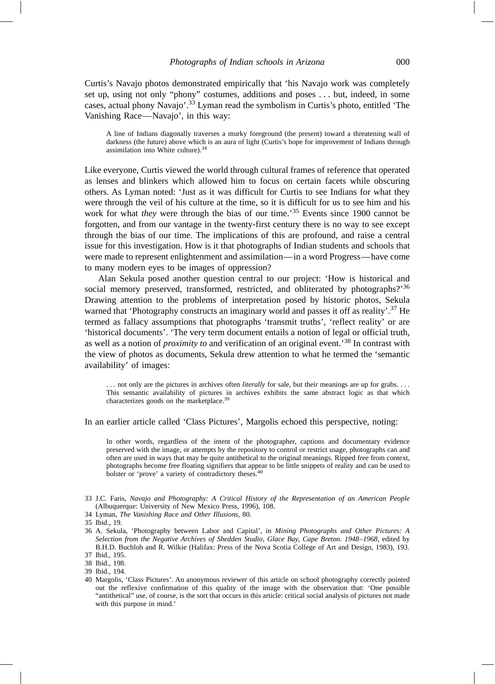Curtis's Navajo photos demonstrated empirically that 'his Navajo work was completely set up, using not only "phony" costumes, additions and poses . . . but, indeed, in some cases, actual phony Navajo'.<sup>33</sup> Lyman read the symbolism in Curtis's photo, entitled 'The Vanishing Race—Navajo', in this way:

A line of Indians diagonally traverses a murky foreground (the present) toward a threatening wall of darkness (the future) above which is an aura of light (Curtis's hope for improvement of Indians through assimilation into White culture).34

Like everyone, Curtis viewed the world through cultural frames of reference that operated as lenses and blinkers which allowed him to focus on certain facets while obscuring others. As Lyman noted: 'Just as it was difficult for Curtis to see Indians for what they were through the veil of his culture at the time, so it is difficult for us to see him and his work for what *they* were through the bias of our time.' <sup>35</sup> Events since 1900 cannot be forgotten, and from our vantage in the twenty-first century there is no way to see except through the bias of our time. The implications of this are profound, and raise a central issue for this investigation. How is it that photographs of Indian students and schools that were made to represent enlightenment and assimilation—in a word Progress—have come to many modern eyes to be images of oppression?

Alan Sekula posed another question central to our project: 'How is historical and social memory preserved, transformed, restricted, and obliterated by photographs?'<sup>36</sup> Drawing attention to the problems of interpretation posed by historic photos, Sekula warned that 'Photography constructs an imaginary world and passes it off as reality'.<sup>37</sup> He termed as fallacy assumptions that photographs 'transmit truths', 'reflect reality' or are 'historical documents'. 'The very term document entails a notion of legal or official truth, as well as a notion of *proximity to* and verification of an original event.' <sup>38</sup> In contrast with the view of photos as documents, Sekula drew attention to what he termed the 'semantic availability' of images:

. . . not only are the pictures in archives often *literally* for sale, but their meanings are up for grabs. . . . This semantic availability of pictures in archives exhibits the same abstract logic as that which characterizes goods on the marketplace.<sup>39</sup>

In an earlier article called 'Class Pictures', Margolis echoed this perspective, noting:

In other words, regardless of the intent of the photographer, captions and documentary evidence preserved with the image, or attempts by the repository to control or restrict usage, photographs can and often are used in ways that may be quite antithetical to the original meanings. Ripped free from context, photographs become free floating signifiers that appear to be little snippets of reality and can be used to bolster or 'prove' a variety of contradictory theses.<sup>4</sup>

- 33 J.C. Faris, *Navajo and Photography: A Critical History of the Representation of an American People* (Albuquerque: University of New Mexico Press, 1996), 108.
- 34 Lyman, *The Vanishing Race and Other Illusions*, 80.
- 35 Ibid., 19.
- 36 A. Sekula, 'Photography between Labor and Capital', in *Mining Photographs and Other Pictures: A Selection from the Negative Archives of Shedden Studio, Glace Bay, Cape Breton. 1948–1968*, edited by B.H.D. Buchloh and R. Wilkie (Halifax: Press of the Nova Scotia College of Art and Design, 1983), 193.

38 Ibid., 198.

<sup>37</sup> Ibid., 195.

<sup>39</sup> Ibid., 194.

<sup>40</sup> Margolis, 'Class Pictures'. An anonymous reviewer of this article on school photography correctly pointed out the reflexive confirmation of this quality of the image with the observation that: 'One possible "antithetical" use, of course, is the sort that occurs in this article: critical social analysis of pictures not made with this purpose in mind.'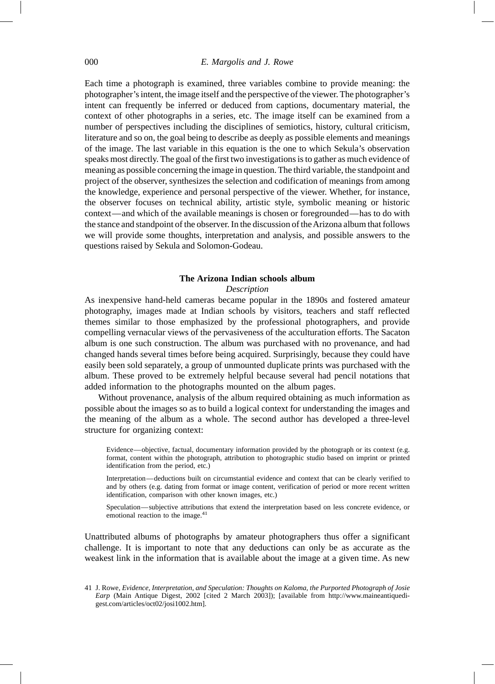Each time a photograph is examined, three variables combine to provide meaning: the photographer's intent, the image itself and the perspective of the viewer. The photographer's intent can frequently be inferred or deduced from captions, documentary material, the context of other photographs in a series, etc. The image itself can be examined from a number of perspectives including the disciplines of semiotics, history, cultural criticism, literature and so on, the goal being to describe as deeply as possible elements and meanings of the image. The last variable in this equation is the one to which Sekula's observation speaks most directly. The goal of the first two investigations is to gather as much evidence of meaning as possible concerning the image in question. The third variable, the standpoint and project of the observer, synthesizes the selection and codification of meanings from among the knowledge, experience and personal perspective of the viewer. Whether, for instance, the observer focuses on technical ability, artistic style, symbolic meaning or historic context—and which of the available meanings is chosen or foregrounded—has to do with the stance and standpoint of the observer. In the discussion of the Arizona album that follows we will provide some thoughts, interpretation and analysis, and possible answers to the questions raised by Sekula and Solomon-Godeau.

# **The Arizona Indian schools album**

## *Description*

As inexpensive hand-held cameras became popular in the 1890s and fostered amateur photography, images made at Indian schools by visitors, teachers and staff reflected themes similar to those emphasized by the professional photographers, and provide compelling vernacular views of the pervasiveness of the acculturation efforts. The Sacaton album is one such construction. The album was purchased with no provenance, and had changed hands several times before being acquired. Surprisingly, because they could have easily been sold separately, a group of unmounted duplicate prints was purchased with the album. These proved to be extremely helpful because several had pencil notations that added information to the photographs mounted on the album pages.

Without provenance, analysis of the album required obtaining as much information as possible about the images so as to build a logical context for understanding the images and the meaning of the album as a whole. The second author has developed a three-level structure for organizing context:

Evidence—objective, factual, documentary information provided by the photograph or its context (e.g. format, content within the photograph, attribution to photographic studio based on imprint or printed identification from the period, etc.)

Interpretation—deductions built on circumstantial evidence and context that can be clearly verified to and by others (e.g. dating from format or image content, verification of period or more recent written identification, comparison with other known images, etc.)

Speculation—subjective attributions that extend the interpretation based on less concrete evidence, or emotional reaction to the image.<sup>41</sup>

Unattributed albums of photographs by amateur photographers thus offer a significant challenge. It is important to note that any deductions can only be as accurate as the weakest link in the information that is available about the image at a given time. As new

<sup>41</sup> J. Rowe, *Evidence, Interpretation, and Speculation: Thoughts on Kaloma, the Purported Photograph of Josie Earp* (Main Antique Digest, 2002 [cited 2 March 2003]); [available from http://www.maineantiquedigest.com/articles/oct02/josi1002.htm].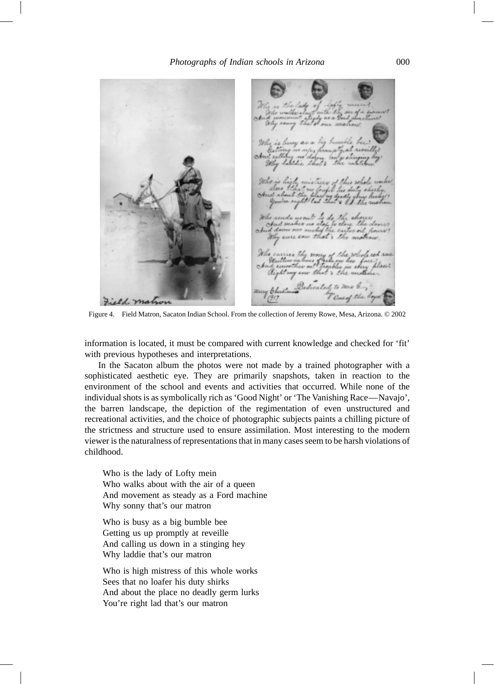

Figure 4. Field Matron, Sacaton Indian School. From the collection of Jeremy Rowe, Mesa, Arizona. © 2002

information is located, it must be compared with current knowledge and checked for 'fit' with previous hypotheses and interpretations.

In the Sacaton album the photos were not made by a trained photographer with a sophisticated aesthetic eye. They are primarily snapshots, taken in reaction to the environment of the school and events and activities that occurred. While none of the individual shots is as symbolically rich as 'Good Night' or 'The Vanishing Race—Navajo', the barren landscape, the depiction of the regimentation of even unstructured and recreational activities, and the choice of photographic subjects paints a chilling picture of the strictness and structure used to ensure assimilation. Most interesting to the modern viewer is the naturalness of representations that in many cases seem to be harsh violations of childhood.

Who is the lady of Lofty mein Who walks about with the air of a queen And movement as steady as a Ford machine Why sonny that's our matron

Who is busy as a big bumble bee Getting us up promptly at reveille And calling us down in a stinging hey Why laddie that's our matron

Who is high mistress of this whole works Sees that no loafer his duty shirks And about the place no deadly germ lurks You're right lad that's our matron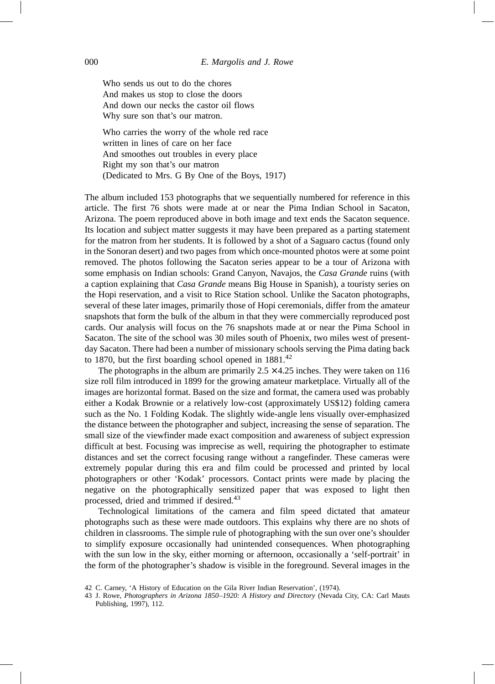Who sends us out to do the chores And makes us stop to close the doors And down our necks the castor oil flows Why sure son that's our matron.

Who carries the worry of the whole red race written in lines of care on her face And smoothes out troubles in every place Right my son that's our matron (Dedicated to Mrs. G By One of the Boys, 1917)

The album included 153 photographs that we sequentially numbered for reference in this article. The first 76 shots were made at or near the Pima Indian School in Sacaton, Arizona. The poem reproduced above in both image and text ends the Sacaton sequence. Its location and subject matter suggests it may have been prepared as a parting statement for the matron from her students. It is followed by a shot of a Saguaro cactus (found only in the Sonoran desert) and two pages from which once-mounted photos were at some point removed. The photos following the Sacaton series appear to be a tour of Arizona with some emphasis on Indian schools: Grand Canyon, Navajos, the *Casa Grande* ruins (with a caption explaining that *Casa Grande* means Big House in Spanish), a touristy series on the Hopi reservation, and a visit to Rice Station school. Unlike the Sacaton photographs, several of these later images, primarily those of Hopi ceremonials, differ from the amateur snapshots that form the bulk of the album in that they were commercially reproduced post cards. Our analysis will focus on the 76 snapshots made at or near the Pima School in Sacaton. The site of the school was 30 miles south of Phoenix, two miles west of presentday Sacaton. There had been a number of missionary schools serving the Pima dating back to 1870, but the first boarding school opened in 1881.<sup>42</sup>

The photographs in the album are primarily  $2.5 \times 4.25$  inches. They were taken on 116 size roll film introduced in 1899 for the growing amateur marketplace. Virtually all of the images are horizontal format. Based on the size and format, the camera used was probably either a Kodak Brownie or a relatively low-cost (approximately US\$12) folding camera such as the No. 1 Folding Kodak. The slightly wide-angle lens visually over-emphasized the distance between the photographer and subject, increasing the sense of separation. The small size of the viewfinder made exact composition and awareness of subject expression difficult at best. Focusing was imprecise as well, requiring the photographer to estimate distances and set the correct focusing range without a rangefinder. These cameras were extremely popular during this era and film could be processed and printed by local photographers or other 'Kodak' processors. Contact prints were made by placing the negative on the photographically sensitized paper that was exposed to light then processed, dried and trimmed if desired.43

Technological limitations of the camera and film speed dictated that amateur photographs such as these were made outdoors. This explains why there are no shots of children in classrooms. The simple rule of photographing with the sun over one's shoulder to simplify exposure occasionally had unintended consequences. When photographing with the sun low in the sky, either morning or afternoon, occasionally a 'self-portrait' in the form of the photographer's shadow is visible in the foreground. Several images in the

<sup>42</sup> C. Carney, 'A History of Education on the Gila River Indian Reservation', (1974).

<sup>43</sup> J. Rowe, *Photographers in Arizona 1850–1920: A History and Directory* (Nevada City, CA: Carl Mauts Publishing, 1997), 112.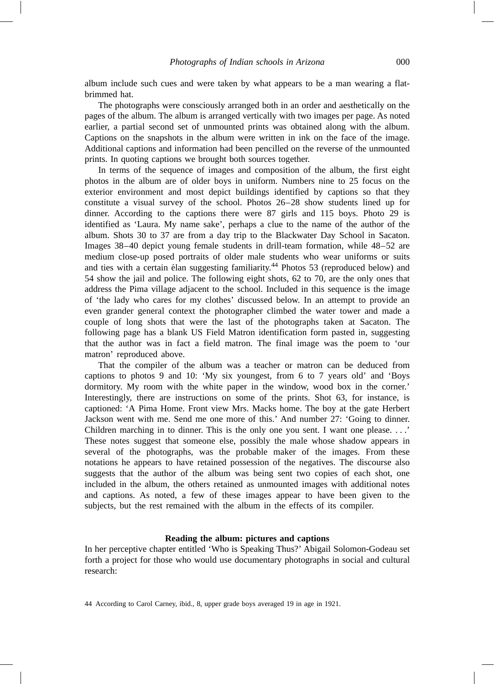album include such cues and were taken by what appears to be a man wearing a flatbrimmed hat.

The photographs were consciously arranged both in an order and aesthetically on the pages of the album. The album is arranged vertically with two images per page. As noted earlier, a partial second set of unmounted prints was obtained along with the album. Captions on the snapshots in the album were written in ink on the face of the image. Additional captions and information had been pencilled on the reverse of the unmounted prints. In quoting captions we brought both sources together.

In terms of the sequence of images and composition of the album, the first eight photos in the album are of older boys in uniform. Numbers nine to 25 focus on the exterior environment and most depict buildings identified by captions so that they constitute a visual survey of the school. Photos 26–28 show students lined up for dinner. According to the captions there were 87 girls and 115 boys. Photo 29 is identified as 'Laura. My name sake', perhaps a clue to the name of the author of the album. Shots 30 to 37 are from a day trip to the Blackwater Day School in Sacaton. Images 38–40 depict young female students in drill-team formation, while 48–52 are medium close-up posed portraits of older male students who wear uniforms or suits and ties with a certain élan suggesting familiarity.<sup>44</sup> Photos 53 (reproduced below) and 54 show the jail and police. The following eight shots, 62 to 70, are the only ones that address the Pima village adjacent to the school. Included in this sequence is the image of 'the lady who cares for my clothes' discussed below. In an attempt to provide an even grander general context the photographer climbed the water tower and made a couple of long shots that were the last of the photographs taken at Sacaton. The following page has a blank US Field Matron identification form pasted in, suggesting that the author was in fact a field matron. The final image was the poem to 'our matron' reproduced above.

That the compiler of the album was a teacher or matron can be deduced from captions to photos 9 and 10: 'My six youngest, from 6 to 7 years old' and 'Boys dormitory. My room with the white paper in the window, wood box in the corner.' Interestingly, there are instructions on some of the prints. Shot 63, for instance, is captioned: 'A Pima Home. Front view Mrs. Macks home. The boy at the gate Herbert Jackson went with me. Send me one more of this.' And number 27: 'Going to dinner. Children marching in to dinner. This is the only one you sent. I want one please. . . .' These notes suggest that someone else, possibly the male whose shadow appears in several of the photographs, was the probable maker of the images. From these notations he appears to have retained possession of the negatives. The discourse also suggests that the author of the album was being sent two copies of each shot, one included in the album, the others retained as unmounted images with additional notes and captions. As noted, a few of these images appear to have been given to the subjects, but the rest remained with the album in the effects of its compiler.

### **Reading the album: pictures and captions**

In her perceptive chapter entitled 'Who is Speaking Thus?' Abigail Solomon-Godeau set forth a project for those who would use documentary photographs in social and cultural research:

44 According to Carol Carney, ibid., 8, upper grade boys averaged 19 in age in 1921.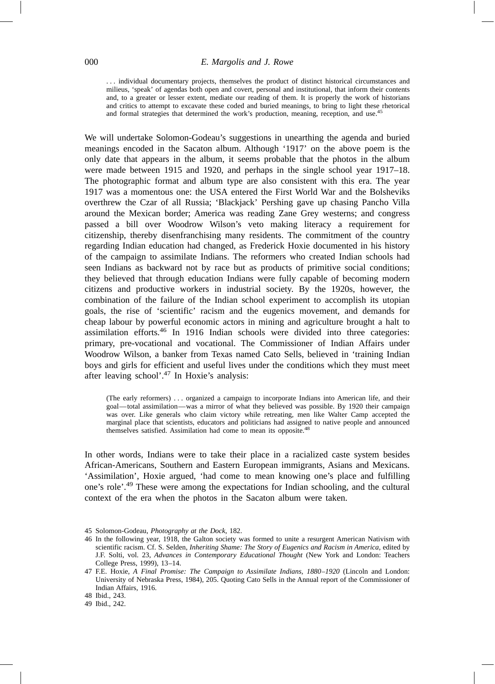#### 000 *E. Margolis and J. Rowe*

. . . individual documentary projects, themselves the product of distinct historical circumstances and milieus, 'speak' of agendas both open and covert, personal and institutional, that inform their contents and, to a greater or lesser extent, mediate our reading of them. It is properly the work of historians and critics to attempt to excavate these coded and buried meanings, to bring to light these rhetorical and formal strategies that determined the work's production, meaning, reception, and use.<sup>4</sup>

We will undertake Solomon-Godeau's suggestions in unearthing the agenda and buried meanings encoded in the Sacaton album. Although '1917' on the above poem is the only date that appears in the album, it seems probable that the photos in the album were made between 1915 and 1920, and perhaps in the single school year 1917–18. The photographic format and album type are also consistent with this era. The year 1917 was a momentous one: the USA entered the First World War and the Bolsheviks overthrew the Czar of all Russia; 'Blackjack' Pershing gave up chasing Pancho Villa around the Mexican border; America was reading Zane Grey westerns; and congress passed a bill over Woodrow Wilson's veto making literacy a requirement for citizenship, thereby disenfranchising many residents. The commitment of the country regarding Indian education had changed, as Frederick Hoxie documented in his history of the campaign to assimilate Indians. The reformers who created Indian schools had seen Indians as backward not by race but as products of primitive social conditions; they believed that through education Indians were fully capable of becoming modern citizens and productive workers in industrial society. By the 1920s, however, the combination of the failure of the Indian school experiment to accomplish its utopian goals, the rise of 'scientific' racism and the eugenics movement, and demands for cheap labour by powerful economic actors in mining and agriculture brought a halt to assimilation efforts.46 In 1916 Indian schools were divided into three categories: primary, pre-vocational and vocational. The Commissioner of Indian Affairs under Woodrow Wilson, a banker from Texas named Cato Sells, believed in 'training Indian boys and girls for efficient and useful lives under the conditions which they must meet after leaving school'.<sup>47</sup> In Hoxie's analysis:

(The early reformers) . . . organized a campaign to incorporate Indians into American life, and their goal—total assimilation—was a mirror of what they believed was possible. By 1920 their campaign was over. Like generals who claim victory while retreating, men like Walter Camp accepted the marginal place that scientists, educators and politicians had assigned to native people and announced themselves satisfied. Assimilation had come to mean its opposite.<sup>48</sup>

In other words, Indians were to take their place in a racialized caste system besides African-Americans, Southern and Eastern European immigrants, Asians and Mexicans. 'Assimilation', Hoxie argued, 'had come to mean knowing one's place and fulfilling one's role'. <sup>49</sup> These were among the expectations for Indian schooling, and the cultural context of the era when the photos in the Sacaton album were taken.

48 Ibid., 243. 49 Ibid., 242.

<sup>45</sup> Solomon-Godeau, *Photography at the Dock*, 182.

<sup>46</sup> In the following year, 1918, the Galton society was formed to unite a resurgent American Nativism with scientific racism. Cf. S. Selden, *Inheriting Shame: The Story of Eugenics and Racism in America*, edited by J.F. Solti, vol. 23, *Advances in Contemporary Educational Thought* (New York and London: Teachers College Press, 1999), 13–14.

<sup>47</sup> F.E. Hoxie, *A Final Promise: The Campaign to Assimilate Indians, 1880–1920* (Lincoln and London: University of Nebraska Press, 1984), 205. Quoting Cato Sells in the Annual report of the Commissioner of Indian Affairs, 1916.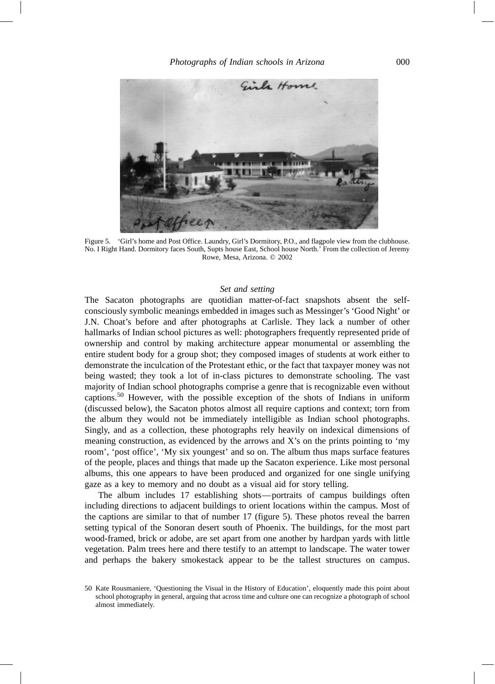

Figure 5. 'Girl's home and Post Office. Laundry, Girl's Dormitory, P.O., and flagpole view from the clubhouse. No. I Right Hand. Dormitory faces South, Supts house East, School house North.' From the collection of Jeremy Rowe, Mesa, Arizona. © 2002

### *Set and setting*

The Sacaton photographs are quotidian matter-of-fact snapshots absent the selfconsciously symbolic meanings embedded in images such as Messinger's 'Good Night' or J.N. Choat's before and after photographs at Carlisle. They lack a number of other hallmarks of Indian school pictures as well: photographers frequently represented pride of ownership and control by making architecture appear monumental or assembling the entire student body for a group shot; they composed images of students at work either to demonstrate the inculcation of the Protestant ethic, or the fact that taxpayer money was not being wasted; they took a lot of in-class pictures to demonstrate schooling. The vast majority of Indian school photographs comprise a genre that is recognizable even without captions.<sup>50</sup> However, with the possible exception of the shots of Indians in uniform (discussed below), the Sacaton photos almost all require captions and context; torn from the album they would not be immediately intelligible as Indian school photographs. Singly, and as a collection, these photographs rely heavily on indexical dimensions of meaning construction, as evidenced by the arrows and X's on the prints pointing to 'my room', 'post office', 'My six youngest' and so on. The album thus maps surface features of the people, places and things that made up the Sacaton experience. Like most personal albums, this one appears to have been produced and organized for one single unifying gaze as a key to memory and no doubt as a visual aid for story telling.

The album includes 17 establishing shots—portraits of campus buildings often including directions to adjacent buildings to orient locations within the campus. Most of the captions are similar to that of number 17 (figure 5). These photos reveal the barren setting typical of the Sonoran desert south of Phoenix. The buildings, for the most part wood-framed, brick or adobe, are set apart from one another by hardpan yards with little vegetation. Palm trees here and there testify to an attempt to landscape. The water tower and perhaps the bakery smokestack appear to be the tallest structures on campus.

<sup>50</sup> Kate Rousmaniere, 'Questioning the Visual in the History of Education', eloquently made this point about school photography in general, arguing that across time and culture one can recognize a photograph of school almost immediately.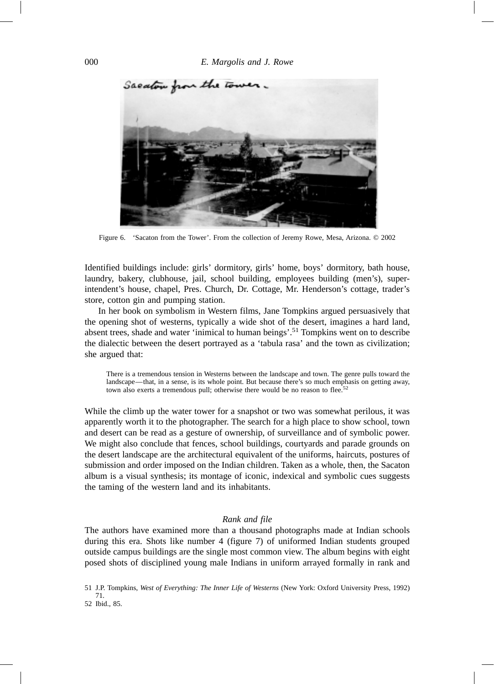

Figure 6. 'Sacaton from the Tower'. From the collection of Jeremy Rowe, Mesa, Arizona. © 2002

Identified buildings include: girls' dormitory, girls' home, boys' dormitory, bath house, laundry, bakery, clubhouse, jail, school building, employees building (men's), superintendent's house, chapel, Pres. Church, Dr. Cottage, Mr. Henderson's cottage, trader's store, cotton gin and pumping station.

In her book on symbolism in Western films, Jane Tompkins argued persuasively that the opening shot of westerns, typically a wide shot of the desert, imagines a hard land, absent trees, shade and water 'inimical to human beings'. <sup>51</sup> Tompkins went on to describe the dialectic between the desert portrayed as a 'tabula rasa' and the town as civilization; she argued that:

There is a tremendous tension in Westerns between the landscape and town. The genre pulls toward the landscape—that, in a sense, is its whole point. But because there's so much emphasis on getting away, town also exerts a tremendous pull; otherwise there would be no reason to flee.<sup>52</sup>

While the climb up the water tower for a snapshot or two was somewhat perilous, it was apparently worth it to the photographer. The search for a high place to show school, town and desert can be read as a gesture of ownership, of surveillance and of symbolic power. We might also conclude that fences, school buildings, courtyards and parade grounds on the desert landscape are the architectural equivalent of the uniforms, haircuts, postures of submission and order imposed on the Indian children. Taken as a whole, then, the Sacaton album is a visual synthesis; its montage of iconic, indexical and symbolic cues suggests the taming of the western land and its inhabitants.

#### *Rank and file*

The authors have examined more than a thousand photographs made at Indian schools during this era. Shots like number 4 (figure 7) of uniformed Indian students grouped outside campus buildings are the single most common view. The album begins with eight posed shots of disciplined young male Indians in uniform arrayed formally in rank and

51 J.P. Tompkins, *West of Everything: The Inner Life of Westerns* (New York: Oxford University Press, 1992) 71.

52 Ibid., 85.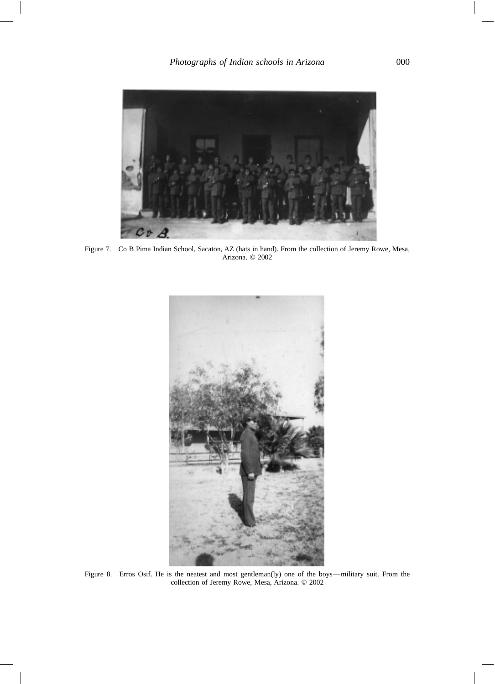

Figure 7. Co B Pima Indian School, Sacaton, AZ (hats in hand). From the collection of Jeremy Rowe, Mesa, Arizona. © 2002



Figure 8. Erros Osif. He is the neatest and most gentleman(ly) one of the boys—military suit. From the collection of Jeremy Rowe, Mesa, Arizona. © 2002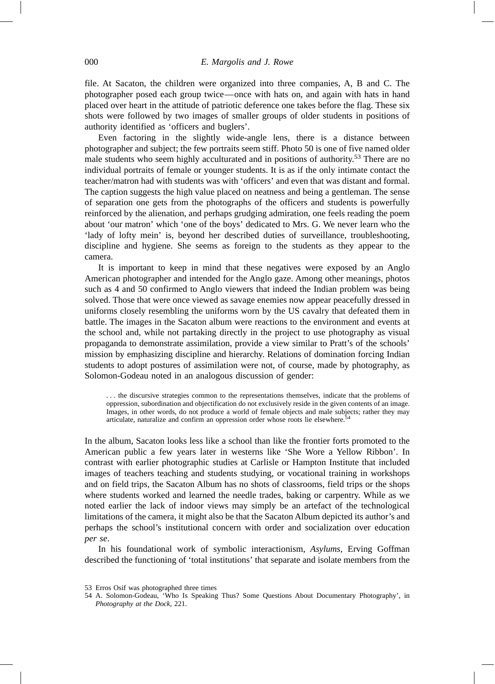file. At Sacaton, the children were organized into three companies, A, B and C. The photographer posed each group twice—once with hats on, and again with hats in hand placed over heart in the attitude of patriotic deference one takes before the flag. These six shots were followed by two images of smaller groups of older students in positions of authority identified as 'officers and buglers'.

Even factoring in the slightly wide-angle lens, there is a distance between photographer and subject; the few portraits seem stiff. Photo 50 is one of five named older male students who seem highly acculturated and in positions of authority.<sup>53</sup> There are no individual portraits of female or younger students. It is as if the only intimate contact the teacher/matron had with students was with 'officers' and even that was distant and formal. The caption suggests the high value placed on neatness and being a gentleman. The sense of separation one gets from the photographs of the officers and students is powerfully reinforced by the alienation, and perhaps grudging admiration, one feels reading the poem about 'our matron' which 'one of the boys' dedicated to Mrs. G. We never learn who the 'lady of lofty mein' is, beyond her described duties of surveillance, troubleshooting, discipline and hygiene. She seems as foreign to the students as they appear to the camera.

It is important to keep in mind that these negatives were exposed by an Anglo American photographer and intended for the Anglo gaze. Among other meanings, photos such as 4 and 50 confirmed to Anglo viewers that indeed the Indian problem was being solved. Those that were once viewed as savage enemies now appear peacefully dressed in uniforms closely resembling the uniforms worn by the US cavalry that defeated them in battle. The images in the Sacaton album were reactions to the environment and events at the school and, while not partaking directly in the project to use photography as visual propaganda to demonstrate assimilation, provide a view similar to Pratt's of the schools' mission by emphasizing discipline and hierarchy. Relations of domination forcing Indian students to adopt postures of assimilation were not, of course, made by photography, as Solomon-Godeau noted in an analogous discussion of gender:

. . . the discursive strategies common to the representations themselves, indicate that the problems of oppression, subordination and objectification do not exclusively reside in the given contents of an image. Images, in other words, do not produce a world of female objects and male subjects; rather they may articulate, naturalize and confirm an oppression order whose roots lie elsewhere.<sup>5</sup>

In the album, Sacaton looks less like a school than like the frontier forts promoted to the American public a few years later in westerns like 'She Wore a Yellow Ribbon'. In contrast with earlier photographic studies at Carlisle or Hampton Institute that included images of teachers teaching and students studying, or vocational training in workshops and on field trips, the Sacaton Album has no shots of classrooms, field trips or the shops where students worked and learned the needle trades, baking or carpentry. While as we noted earlier the lack of indoor views may simply be an artefact of the technological limitations of the camera, it might also be that the Sacaton Album depicted its author's and perhaps the school's institutional concern with order and socialization over education *per se*.

In his foundational work of symbolic interactionism, *Asylums*, Erving Goffman described the functioning of 'total institutions' that separate and isolate members from the

<sup>53</sup> Erros Osif was photographed three times

<sup>54</sup> A. Solomon-Godeau, 'Who Is Speaking Thus? Some Questions About Documentary Photography', in *Photography at the Dock*, 221.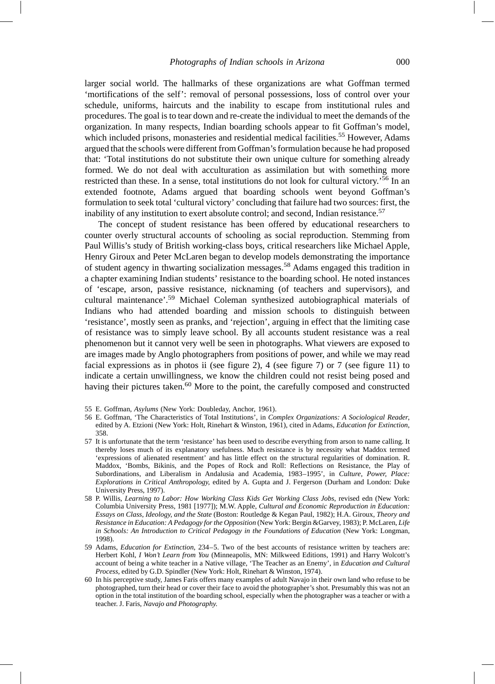larger social world. The hallmarks of these organizations are what Goffman termed 'mortifications of the self': removal of personal possessions, loss of control over your schedule, uniforms, haircuts and the inability to escape from institutional rules and procedures. The goal is to tear down and re-create the individual to meet the demands of the organization. In many respects, Indian boarding schools appear to fit Goffman's model, which included prisons, monasteries and residential medical facilities.<sup>55</sup> However, Adams argued that the schools were different from Goffman's formulation because he had proposed that: 'Total institutions do not substitute their own unique culture for something already formed. We do not deal with acculturation as assimilation but with something more restricted than these. In a sense, total institutions do not look for cultural victory.'<sup>56</sup> In an extended footnote, Adams argued that boarding schools went beyond Goffman's formulation to seek total 'cultural victory' concluding that failure had two sources: first, the inability of any institution to exert absolute control; and second, Indian resistance.<sup>57</sup>

The concept of student resistance has been offered by educational researchers to counter overly structural accounts of schooling as social reproduction. Stemming from Paul Willis's study of British working-class boys, critical researchers like Michael Apple, Henry Giroux and Peter McLaren began to develop models demonstrating the importance of student agency in thwarting socialization messages.58 Adams engaged this tradition in a chapter examining Indian students' resistance to the boarding school. He noted instances of 'escape, arson, passive resistance, nicknaming (of teachers and supervisors), and cultural maintenance'. <sup>59</sup> Michael Coleman synthesized autobiographical materials of Indians who had attended boarding and mission schools to distinguish between 'resistance', mostly seen as pranks, and 'rejection', arguing in effect that the limiting case of resistance was to simply leave school. By all accounts student resistance was a real phenomenon but it cannot very well be seen in photographs. What viewers are exposed to are images made by Anglo photographers from positions of power, and while we may read facial expressions as in photos ii (see figure 2), 4 (see figure 7) or 7 (see figure 11) to indicate a certain unwillingness, we know the children could not resist being posed and having their pictures taken.<sup>60</sup> More to the point, the carefully composed and constructed

- 55 E. Goffman, *Asylums* (New York: Doubleday, Anchor, 1961).
- 56 E. Goffman, 'The Characteristics of Total Institutions', in *Complex Organizations: A Sociological Reader*, edited by A. Etzioni (New York: Holt, Rinehart & Winston, 1961), cited in Adams, *Education for Extinction*, 358.
- 57 It is unfortunate that the term 'resistance' has been used to describe everything from arson to name calling. It thereby loses much of its explanatory usefulness. Much resistance is by necessity what Maddox termed 'expressions of alienated resentment' and has little effect on the structural regularities of domination. R. Maddox, 'Bombs, Bikinis, and the Popes of Rock and Roll: Reflections on Resistance, the Play of Subordinations, and Liberalism in Andalusia and Academia, 1983–1995', in *Culture, Power, Place: Explorations in Critical Anthropology*, edited by A. Gupta and J. Fergerson (Durham and London: Duke University Press, 1997).
- 58 P. Willis, *Learning to Labor: How Working Class Kids Get Working Class Jobs*, revised edn (New York: Columbia University Press, 1981 [1977]); M.W. Apple, *Cultural and Economic Reproduction in Education: Essays on Class, Ideology, and the State* (Boston: Routledge & Kegan Paul, 1982); H.A. Giroux, *Theory and Resistance in Education: A Pedagogy for the Opposition* (New York: Bergin &Garvey, 1983); P. McLaren, *Life in Schools: An Introduction to Critical Pedagogy in the Foundations of Education* (New York: Longman, 1998).
- 59 Adams, *Education for Extinction*, 234–5. Two of the best accounts of resistance written by teachers are: Herbert Kohl, *I Won't Learn from You* (Minneapolis, MN: Milkweed Editions, 1991) and Harry Wolcott's account of being a white teacher in a Native village, 'The Teacher as an Enemy', in *Education and Cultural Process*, edited by G.D. Spindler (New York: Holt, Rinehart & Winston, 1974).
- 60 In his perceptive study, James Faris offers many examples of adult Navajo in their own land who refuse to be photographed, turn their head or cover their face to avoid the photographer's shot. Presumably this was not an option in the total institution of the boarding school, especially when the photographer was a teacher or with a teacher. J. Faris, *Navajo and Photography*.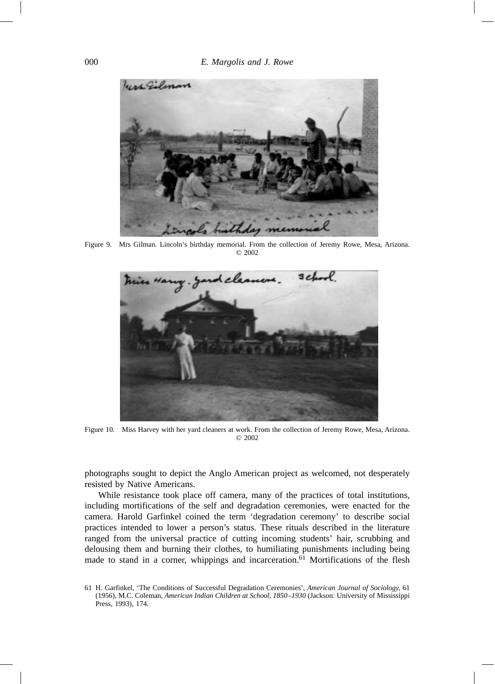

Figure 9. Mrs Gilman. Lincoln's birthday memorial. From the collection of Jeremy Rowe, Mesa, Arizona. © 2002



Figure 10. Miss Harvey with her yard cleaners at work. From the collection of Jeremy Rowe, Mesa, Arizona. © 2002

photographs sought to depict the Anglo American project as welcomed, not desperately resisted by Native Americans.

While resistance took place off camera, many of the practices of total institutions, including mortifications of the self and degradation ceremonies, were enacted for the camera. Harold Garfinkel coined the term 'degradation ceremony' to describe social practices intended to lower a person's status. These rituals described in the literature ranged from the universal practice of cutting incoming students' hair, scrubbing and delousing them and burning their clothes, to humiliating punishments including being made to stand in a corner, whippings and incarceration.<sup>61</sup> Mortifications of the flesh

<sup>61</sup> H. Garfinkel, 'The Conditions of Successful Degradation Ceremonies', *American Journal of Sociology*, 61 (1956), M.C. Coleman, *American Indian Children at School, 1850–1930* (Jackson: University of Mississippi Press, 1993), 174.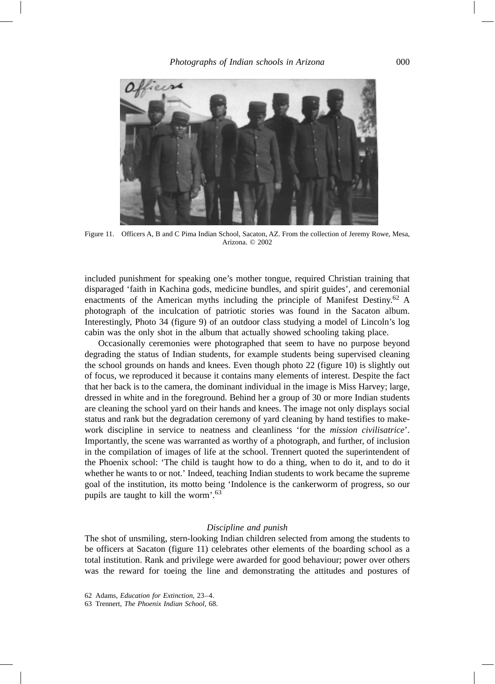

Figure 11. Officers A, B and C Pima Indian School, Sacaton, AZ. From the collection of Jeremy Rowe, Mesa, Arizona. © 2002

included punishment for speaking one's mother tongue, required Christian training that disparaged 'faith in Kachina gods, medicine bundles, and spirit guides', and ceremonial enactments of the American myths including the principle of Manifest Destiny.<sup>62</sup> A photograph of the inculcation of patriotic stories was found in the Sacaton album. Interestingly, Photo 34 (figure 9) of an outdoor class studying a model of Lincoln's log cabin was the only shot in the album that actually showed schooling taking place.

Occasionally ceremonies were photographed that seem to have no purpose beyond degrading the status of Indian students, for example students being supervised cleaning the school grounds on hands and knees. Even though photo 22 (figure 10) is slightly out of focus, we reproduced it because it contains many elements of interest. Despite the fact that her back is to the camera, the dominant individual in the image is Miss Harvey; large, dressed in white and in the foreground. Behind her a group of 30 or more Indian students are cleaning the school yard on their hands and knees. The image not only displays social status and rank but the degradation ceremony of yard cleaning by hand testifies to makework discipline in service to neatness and cleanliness 'for the *mission civilisatrice*'. Importantly, the scene was warranted as worthy of a photograph, and further, of inclusion in the compilation of images of life at the school. Trennert quoted the superintendent of the Phoenix school: 'The child is taught how to do a thing, when to do it, and to do it whether he wants to or not.' Indeed, teaching Indian students to work became the supreme goal of the institution, its motto being 'Indolence is the cankerworm of progress, so our pupils are taught to kill the worm'. 63

### *Discipline and punish*

The shot of unsmiling, stern-looking Indian children selected from among the students to be officers at Sacaton (figure 11) celebrates other elements of the boarding school as a total institution. Rank and privilege were awarded for good behaviour; power over others was the reward for toeing the line and demonstrating the attitudes and postures of

<sup>62</sup> Adams, *Education for Extinction*, 23–4.

<sup>63</sup> Trennert, *The Phoenix Indian School*, 68.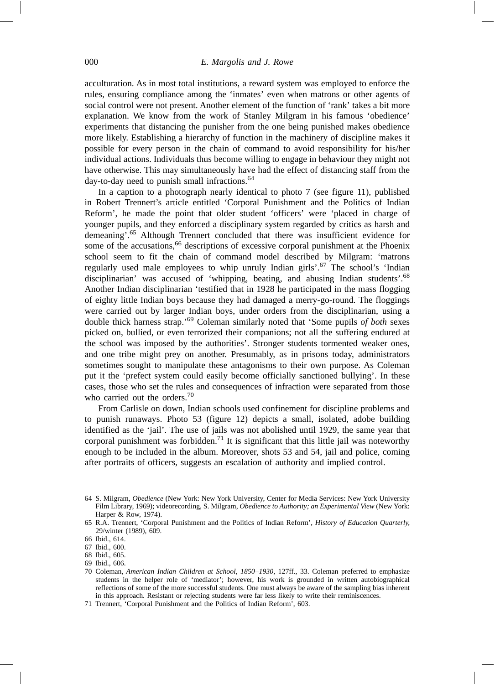acculturation. As in most total institutions, a reward system was employed to enforce the rules, ensuring compliance among the 'inmates' even when matrons or other agents of social control were not present. Another element of the function of 'rank' takes a bit more explanation. We know from the work of Stanley Milgram in his famous 'obedience' experiments that distancing the punisher from the one being punished makes obedience more likely. Establishing a hierarchy of function in the machinery of discipline makes it possible for every person in the chain of command to avoid responsibility for his/her individual actions. Individuals thus become willing to engage in behaviour they might not have otherwise. This may simultaneously have had the effect of distancing staff from the day-to-day need to punish small infractions.<sup>64</sup>

In a caption to a photograph nearly identical to photo 7 (see figure 11), published in Robert Trennert's article entitled 'Corporal Punishment and the Politics of Indian Reform', he made the point that older student 'officers' were 'placed in charge of younger pupils, and they enforced a disciplinary system regarded by critics as harsh and demeaning'.<sup>65</sup> Although Trennert concluded that there was insufficient evidence for some of the accusations,<sup>66</sup> descriptions of excessive corporal punishment at the Phoenix school seem to fit the chain of command model described by Milgram: 'matrons regularly used male employees to whip unruly Indian girls'.<sup>67</sup> The school's 'Indian disciplinarian' was accused of 'whipping, beating, and abusing Indian students'.<sup>68</sup> Another Indian disciplinarian 'testified that in 1928 he participated in the mass flogging of eighty little Indian boys because they had damaged a merry-go-round. The floggings were carried out by larger Indian boys, under orders from the disciplinarian, using a double thick harness strap.' <sup>69</sup> Coleman similarly noted that 'Some pupils *of both* sexes picked on, bullied, or even terrorized their companions; not all the suffering endured at the school was imposed by the authorities'. Stronger students tormented weaker ones, and one tribe might prey on another. Presumably, as in prisons today, administrators sometimes sought to manipulate these antagonisms to their own purpose. As Coleman put it the 'prefect system could easily become officially sanctioned bullying'. In these cases, those who set the rules and consequences of infraction were separated from those who carried out the orders.<sup>70</sup>

From Carlisle on down, Indian schools used confinement for discipline problems and to punish runaways. Photo 53 (figure 12) depicts a small, isolated, adobe building identified as the 'jail'. The use of jails was not abolished until 1929, the same year that corporal punishment was forbidden.<sup>71</sup> It is significant that this little jail was noteworthy enough to be included in the album. Moreover, shots 53 and 54, jail and police, coming after portraits of officers, suggests an escalation of authority and implied control.

<sup>64</sup> S. Milgram, *Obedience* (New York: New York University, Center for Media Services: New York University Film Library, 1969); videorecording, S. Milgram, *Obedience to Authority; an Experimental View* (New York: Harper & Row, 1974).

<sup>65</sup> R.A. Trennert, 'Corporal Punishment and the Politics of Indian Reform', *History of Education Quarterly*, 29/winter (1989), 609.

<sup>66</sup> Ibid., 614.

<sup>67</sup> Ibid., 600.

<sup>68</sup> Ibid., 605.

<sup>69</sup> Ibid., 606.

<sup>70</sup> Coleman, *American Indian Children at School, 1850–1930*, 127ff., 33. Coleman preferred to emphasize students in the helper role of 'mediator'; however, his work is grounded in written autobiographical reflections of some of the more successful students. One must always be aware of the sampling bias inherent in this approach. Resistant or rejecting students were far less likely to write their reminiscences.

<sup>71</sup> Trennert, 'Corporal Punishment and the Politics of Indian Reform', 603.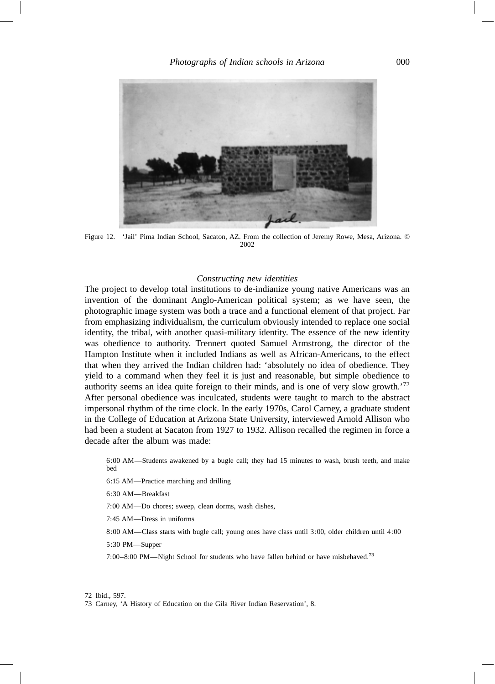

Figure 12. 'Jail' Pima Indian School, Sacaton, AZ. From the collection of Jeremy Rowe, Mesa, Arizona. © 2002

#### *Constructing new identities*

The project to develop total institutions to de-indianize young native Americans was an invention of the dominant Anglo-American political system; as we have seen, the photographic image system was both a trace and a functional element of that project. Far from emphasizing individualism, the curriculum obviously intended to replace one social identity, the tribal, with another quasi-military identity. The essence of the new identity was obedience to authority. Trennert quoted Samuel Armstrong, the director of the Hampton Institute when it included Indians as well as African-Americans, to the effect that when they arrived the Indian children had: 'absolutely no idea of obedience. They yield to a command when they feel it is just and reasonable, but simple obedience to authority seems an idea quite foreign to their minds, and is one of very slow growth.<sup>'72</sup> After personal obedience was inculcated, students were taught to march to the abstract impersonal rhythm of the time clock. In the early 1970s, Carol Carney, a graduate student in the College of Education at Arizona State University, interviewed Arnold Allison who had been a student at Sacaton from 1927 to 1932. Allison recalled the regimen in force a decade after the album was made:

6:00 AM—Students awakened by a bugle call; they had 15 minutes to wash, brush teeth, and make bed

6:15 AM—Practice marching and drilling

6:30 AM—Breakfast

7:00 AM—Do chores; sweep, clean dorms, wash dishes,

7:45 AM—Dress in uniforms

8:00 AM—Class starts with bugle call; young ones have class until 3:00, older children until 4:00

5:30 PM—Supper

7:00–8:00 PM—Night School for students who have fallen behind or have misbehaved.73

73 Carney, 'A History of Education on the Gila River Indian Reservation', 8.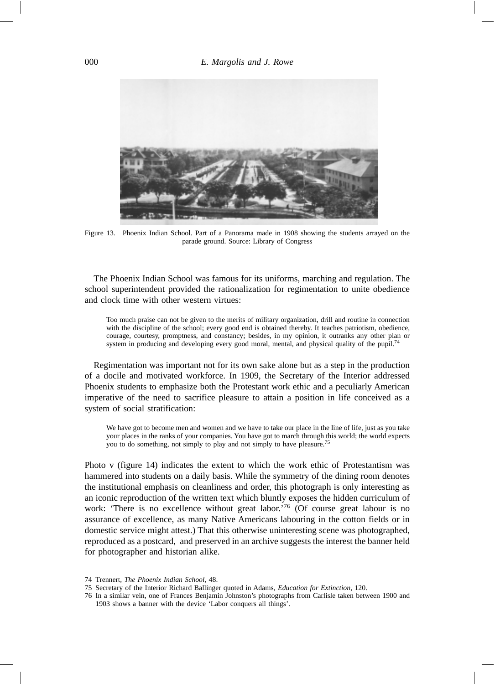

Figure 13. Phoenix Indian School. Part of a Panorama made in 1908 showing the students arrayed on the parade ground. Source: Library of Congress

The Phoenix Indian School was famous for its uniforms, marching and regulation. The school superintendent provided the rationalization for regimentation to unite obedience and clock time with other western virtues:

Too much praise can not be given to the merits of military organization, drill and routine in connection with the discipline of the school; every good end is obtained thereby. It teaches patriotism, obedience, courage, courtesy, promptness, and constancy; besides, in my opinion, it outranks any other plan or system in producing and developing every good moral, mental, and physical quality of the pupil.<sup>74</sup>

Regimentation was important not for its own sake alone but as a step in the production of a docile and motivated workforce. In 1909, the Secretary of the Interior addressed Phoenix students to emphasize both the Protestant work ethic and a peculiarly American imperative of the need to sacrifice pleasure to attain a position in life conceived as a system of social stratification:

We have got to become men and women and we have to take our place in the line of life, just as you take your places in the ranks of your companies. You have got to march through this world; the world expects you to do something, not simply to play and not simply to have pleasure.75

Photo v (figure 14) indicates the extent to which the work ethic of Protestantism was hammered into students on a daily basis. While the symmetry of the dining room denotes the institutional emphasis on cleanliness and order, this photograph is only interesting as an iconic reproduction of the written text which bluntly exposes the hidden curriculum of work: 'There is no excellence without great labor.'<sup>76</sup> (Of course great labour is no assurance of excellence, as many Native Americans labouring in the cotton fields or in domestic service might attest.) That this otherwise uninteresting scene was photographed, reproduced as a postcard, and preserved in an archive suggests the interest the banner held for photographer and historian alike.

- 74 Trennert, *The Phoenix Indian School*, 48.
- 75 Secretary of the Interior Richard Ballinger quoted in Adams, *Education for Extinction*, 120.
- 76 In a similar vein, one of Frances Benjamin Johnston's photographs from Carlisle taken between 1900 and 1903 shows a banner with the device 'Labor conquers all things'.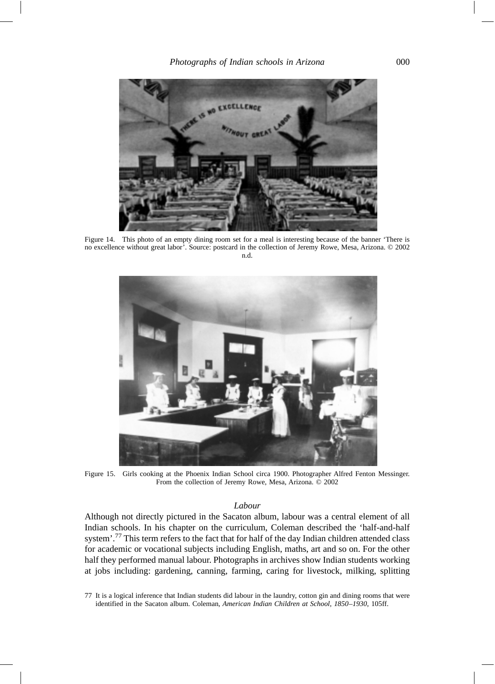

Figure 14. This photo of an empty dining room set for a meal is interesting because of the banner 'There is no excellence without great labor'. Source: postcard in the collection of Jeremy Rowe, Mesa, Arizona. © 2002 n.d.



Figure 15. Girls cooking at the Phoenix Indian School circa 1900. Photographer Alfred Fenton Messinger. From the collection of Jeremy Rowe, Mesa, Arizona. © 2002

#### *Labour*

Although not directly pictured in the Sacaton album, labour was a central element of all Indian schools. In his chapter on the curriculum, Coleman described the 'half-and-half system'.<sup>77</sup> This term refers to the fact that for half of the day Indian children attended class for academic or vocational subjects including English, maths, art and so on. For the other half they performed manual labour. Photographs in archives show Indian students working at jobs including: gardening, canning, farming, caring for livestock, milking, splitting

<sup>77</sup> It is a logical inference that Indian students did labour in the laundry, cotton gin and dining rooms that were identified in the Sacaton album. Coleman, *American Indian Children at School, 1850–1930*, 105ff.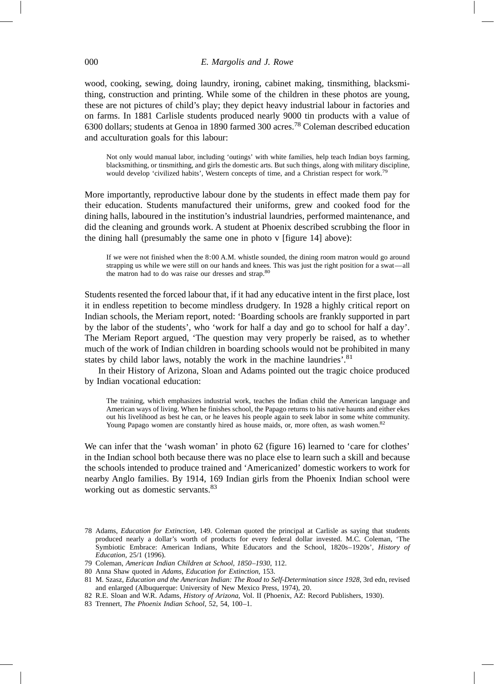wood, cooking, sewing, doing laundry, ironing, cabinet making, tinsmithing, blacksmithing, construction and printing. While some of the children in these photos are young, these are not pictures of child's play; they depict heavy industrial labour in factories and on farms. In 1881 Carlisle students produced nearly 9000 tin products with a value of 6300 dollars; students at Genoa in 1890 farmed 300 acres.78 Coleman described education and acculturation goals for this labour:

Not only would manual labor, including 'outings' with white families, help teach Indian boys farming, blacksmithing, or tinsmithing, and girls the domestic arts. But such things, along with military discipline, would develop 'civilized habits', Western concepts of time, and a Christian respect for work.<sup>79</sup>

More importantly, reproductive labour done by the students in effect made them pay for their education. Students manufactured their uniforms, grew and cooked food for the dining halls, laboured in the institution's industrial laundries, performed maintenance, and did the cleaning and grounds work. A student at Phoenix described scrubbing the floor in the dining hall (presumably the same one in photo v [figure 14] above):

If we were not finished when the 8:00 A.M. whistle sounded, the dining room matron would go around strapping us while we were still on our hands and knees. This was just the right position for a swat—all the matron had to do was raise our dresses and strap.<sup>80</sup>

Students resented the forced labour that, if it had any educative intent in the first place, lost it in endless repetition to become mindless drudgery. In 1928 a highly critical report on Indian schools, the Meriam report, noted: 'Boarding schools are frankly supported in part by the labor of the students', who 'work for half a day and go to school for half a day'. The Meriam Report argued, 'The question may very properly be raised, as to whether much of the work of Indian children in boarding schools would not be prohibited in many states by child labor laws, notably the work in the machine laundries'.<sup>81</sup>

In their History of Arizona, Sloan and Adams pointed out the tragic choice produced by Indian vocational education:

The training, which emphasizes industrial work, teaches the Indian child the American language and American ways of living. When he finishes school, the Papago returns to his native haunts and either ekes out his livelihood as best he can, or he leaves his people again to seek labor in some white community. Young Papago women are constantly hired as house maids, or, more often, as wash women.<sup>82</sup>

We can infer that the 'wash woman' in photo 62 (figure 16) learned to 'care for clothes' in the Indian school both because there was no place else to learn such a skill and because the schools intended to produce trained and 'Americanized' domestic workers to work for nearby Anglo families. By 1914, 169 Indian girls from the Phoenix Indian school were working out as domestic servants.<sup>83</sup>

- 79 Coleman, *American Indian Children at School, 1850–1930*, 112.
- 80 Anna Shaw quoted in *Adams, Education for Extinction*, 153.
- 81 M. Szasz, *Education and the American Indian: The Road to Self-Determination since 1928*, 3rd edn, revised and enlarged (Albuquerque: University of New Mexico Press, 1974), 20.
- 82 R.E. Sloan and W.R. Adams, *History of Arizona*, Vol. II (Phoenix, AZ: Record Publishers, 1930).
- 83 Trennert, *The Phoenix Indian School*, 52, 54, 100–1.

<sup>78</sup> Adams, *Education for Extinction*, 149. Coleman quoted the principal at Carlisle as saying that students produced nearly a dollar's worth of products for every federal dollar invested. M.C. Coleman, 'The Symbiotic Embrace: American Indians, White Educators and the School, 1820s–1920s', *History of Education*, 25/1 (1996).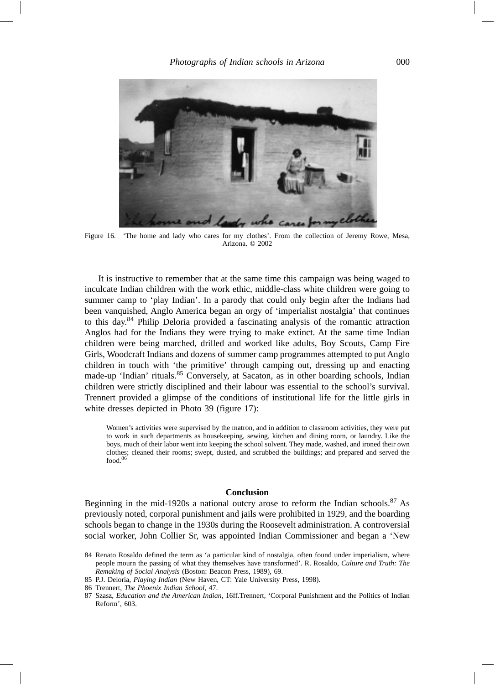

Figure 16. 'The home and lady who cares for my clothes'. From the collection of Jeremy Rowe, Mesa, Arizona. © 2002

It is instructive to remember that at the same time this campaign was being waged to inculcate Indian children with the work ethic, middle-class white children were going to summer camp to 'play Indian'. In a parody that could only begin after the Indians had been vanquished, Anglo America began an orgy of 'imperialist nostalgia' that continues to this day.84 Philip Deloria provided a fascinating analysis of the romantic attraction Anglos had for the Indians they were trying to make extinct. At the same time Indian children were being marched, drilled and worked like adults, Boy Scouts, Camp Fire Girls, Woodcraft Indians and dozens of summer camp programmes attempted to put Anglo children in touch with 'the primitive' through camping out, dressing up and enacting made-up 'Indian' rituals.<sup>85</sup> Conversely, at Sacaton, as in other boarding schools, Indian children were strictly disciplined and their labour was essential to the school's survival. Trennert provided a glimpse of the conditions of institutional life for the little girls in white dresses depicted in Photo 39 (figure 17):

Women's activities were supervised by the matron, and in addition to classroom activities, they were put to work in such departments as housekeeping, sewing, kitchen and dining room, or laundry. Like the boys, much of their labor went into keeping the school solvent. They made, washed, and ironed their own clothes; cleaned their rooms; swept, dusted, and scrubbed the buildings; and prepared and served the food. $86$ 

#### **Conclusion**

Beginning in the mid-1920s a national outcry arose to reform the Indian schools.<sup>87</sup> As previously noted, corporal punishment and jails were prohibited in 1929, and the boarding schools began to change in the 1930s during the Roosevelt administration. A controversial social worker, John Collier Sr, was appointed Indian Commissioner and began a 'New

85 P.J. Deloria, *Playing Indian* (New Haven, CT: Yale University Press, 1998).

<sup>84</sup> Renato Rosaldo defined the term as 'a particular kind of nostalgia, often found under imperialism, where people mourn the passing of what they themselves have transformed'. R. Rosaldo, *Culture and Truth: The Remaking of Social Analysis* (Boston: Beacon Press, 1989), 69.

<sup>86</sup> Trennert, *The Phoenix Indian School*, 47.

<sup>87</sup> Szasz, *Education and the American Indian*, 16ff.Trennert, 'Corporal Punishment and the Politics of Indian Reform', 603.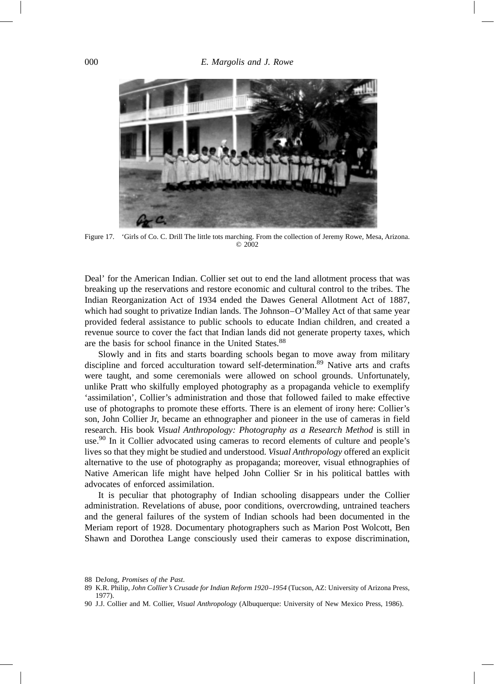

Figure 17. 'Girls of Co. C. Drill The little tots marching. From the collection of Jeremy Rowe, Mesa, Arizona.  $\odot$  2002

Deal' for the American Indian. Collier set out to end the land allotment process that was breaking up the reservations and restore economic and cultural control to the tribes. The Indian Reorganization Act of 1934 ended the Dawes General Allotment Act of 1887, which had sought to privatize Indian lands. The Johnson–O'Malley Act of that same year provided federal assistance to public schools to educate Indian children, and created a revenue source to cover the fact that Indian lands did not generate property taxes, which are the basis for school finance in the United States.<sup>88</sup>

Slowly and in fits and starts boarding schools began to move away from military discipline and forced acculturation toward self-determination.<sup>89</sup> Native arts and crafts were taught, and some ceremonials were allowed on school grounds. Unfortunately, unlike Pratt who skilfully employed photography as a propaganda vehicle to exemplify 'assimilation', Collier's administration and those that followed failed to make effective use of photographs to promote these efforts. There is an element of irony here: Collier's son, John Collier Jr, became an ethnographer and pioneer in the use of cameras in field research. His book *Visual Anthropology: Photography as a Research Method* is still in use.<sup>90</sup> In it Collier advocated using cameras to record elements of culture and people's lives so that they might be studied and understood. *Visual Anthropology* offered an explicit alternative to the use of photography as propaganda; moreover, visual ethnographies of Native American life might have helped John Collier Sr in his political battles with advocates of enforced assimilation.

It is peculiar that photography of Indian schooling disappears under the Collier administration. Revelations of abuse, poor conditions, overcrowding, untrained teachers and the general failures of the system of Indian schools had been documented in the Meriam report of 1928. Documentary photographers such as Marion Post Wolcott, Ben Shawn and Dorothea Lange consciously used their cameras to expose discrimination,

<sup>88</sup> DeJong, *Promises of the Past*.

<sup>89</sup> K.R. Philip, *John Collier's Crusade for Indian Reform 1920–1954* (Tucson, AZ: University of Arizona Press, 1977).

<sup>90</sup> J.J. Collier and M. Collier, *Visual Anthropology* (Albuquerque: University of New Mexico Press, 1986).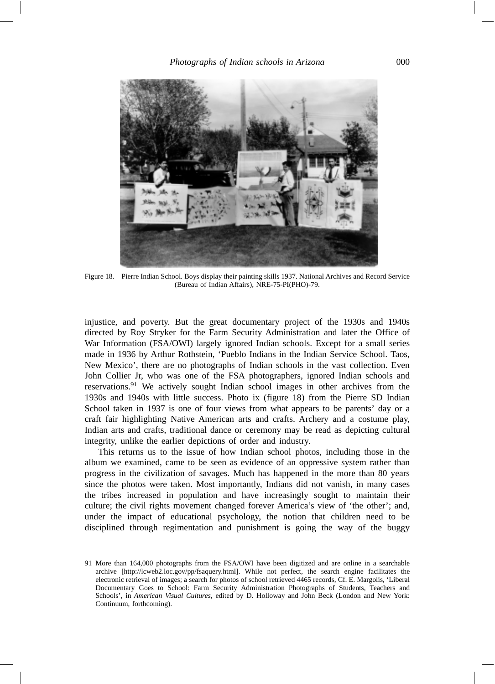

Figure 18. Pierre Indian School. Boys display their painting skills 1937. National Archives and Record Service (Bureau of Indian Affairs), NRE-75-PI(PHO)-79.

injustice, and poverty. But the great documentary project of the 1930s and 1940s directed by Roy Stryker for the Farm Security Administration and later the Office of War Information (FSA/OWI) largely ignored Indian schools. Except for a small series made in 1936 by Arthur Rothstein, 'Pueblo Indians in the Indian Service School. Taos, New Mexico', there are no photographs of Indian schools in the vast collection. Even John Collier Jr, who was one of the FSA photographers, ignored Indian schools and reservations.91 We actively sought Indian school images in other archives from the 1930s and 1940s with little success. Photo ix (figure 18) from the Pierre SD Indian School taken in 1937 is one of four views from what appears to be parents' day or a craft fair highlighting Native American arts and crafts. Archery and a costume play, Indian arts and crafts, traditional dance or ceremony may be read as depicting cultural integrity, unlike the earlier depictions of order and industry.

This returns us to the issue of how Indian school photos, including those in the album we examined, came to be seen as evidence of an oppressive system rather than progress in the civilization of savages. Much has happened in the more than 80 years since the photos were taken. Most importantly, Indians did not vanish, in many cases the tribes increased in population and have increasingly sought to maintain their culture; the civil rights movement changed forever America's view of 'the other'; and, under the impact of educational psychology, the notion that children need to be disciplined through regimentation and punishment is going the way of the buggy

<sup>91</sup> More than 164,000 photographs from the FSA/OWI have been digitized and are online in a searchable archive [http://lcweb2.loc.gov/pp/fsaquery.html]. While not perfect, the search engine facilitates the electronic retrieval of images; a search for photos of school retrieved 4465 records, Cf. E. Margolis, 'Liberal Documentary Goes to School: Farm Security Administration Photographs of Students, Teachers and Schools', in *American Visual Cultures*, edited by D. Holloway and John Beck (London and New York: Continuum, forthcoming).